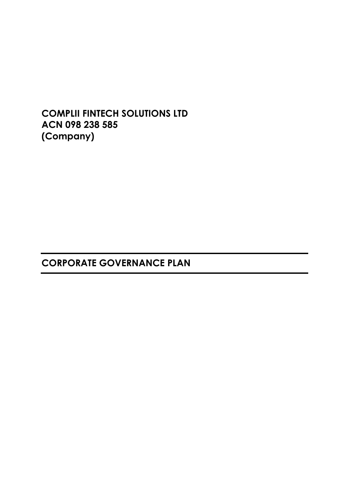**COMPLII FINTECH SOLUTIONS LTD ACN 098 238 585 (Company)**

**CORPORATE GOVERNANCE PLAN**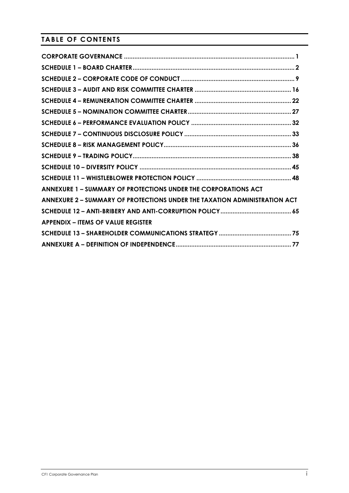# **TABLE OF CONTENTS**

| ANNEXURE 1 - SUMMARY OF PROTECTIONS UNDER THE CORPORATIONS ACT            |  |
|---------------------------------------------------------------------------|--|
| ANNEXURE 2 - SUMMARY OF PROTECTIONS UNDER THE TAXATION ADMINISTRATION ACT |  |
|                                                                           |  |
| <b>APPENDIX – ITEMS OF VALUE REGISTER</b>                                 |  |
|                                                                           |  |
|                                                                           |  |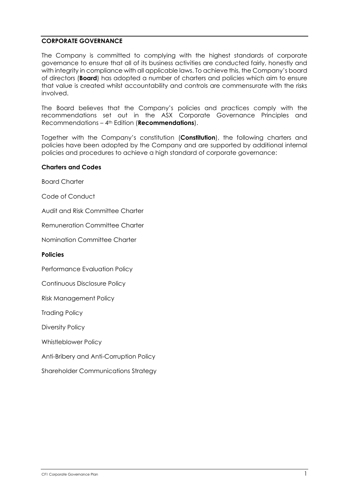### **CORPORATE GOVERNANCE**

The Company is committed to complying with the highest standards of corporate governance to ensure that all of its business activities are conducted fairly, honestly and with integrity in compliance with all applicable laws. To achieve this, the Company's board of directors (**Board**) has adopted a number of charters and policies which aim to ensure that value is created whilst accountability and controls are commensurate with the risks involved.

The Board believes that the Company's policies and practices comply with the recommendations set out in the ASX Corporate Governance Principles and Recommendations – 4th Edition (**Recommendations**).

Together with the Company's constitution (**Constitution**), the following charters and policies have been adopted by the Company and are supported by additional internal policies and procedures to achieve a high standard of corporate governance:

#### **Charters and Codes**

Board Charter

Code of Conduct

Audit and Risk Committee Charter

Remuneration Committee Charter

Nomination Committee Charter

**Policies**

Performance Evaluation Policy

Continuous Disclosure Policy

Risk Management Policy

Trading Policy

Diversity Policy

Whistleblower Policy

Anti-Bribery and Anti-Corruption Policy

Shareholder Communications Strategy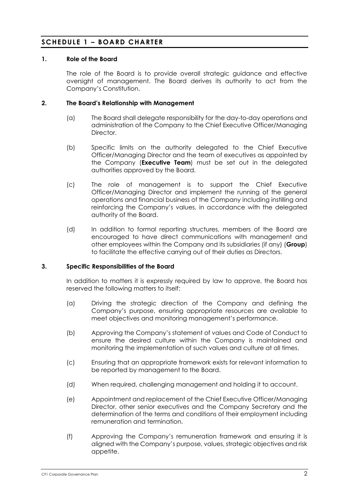## **SCHEDULE 1 – BOARD CHARTER**

### **1. Role of the Board**

The role of the Board is to provide overall strategic guidance and effective oversight of management. The Board derives its authority to act from the Company's Constitution.

#### **2. The Board's Relationship with Management**

- (a) The Board shall delegate responsibility for the day-to-day operations and administration of the Company to the Chief Executive Officer/Managing Director.
- (b) Specific limits on the authority delegated to the Chief Executive Officer/Managing Director and the team of executives as appointed by the Company (**Executive Team**) must be set out in the delegated authorities approved by the Board.
- (c) The role of management is to support the Chief Executive Officer/Managing Director and implement the running of the general operations and financial business of the Company including instilling and reinforcing the Company's values, in accordance with the delegated authority of the Board.
- (d) In addition to formal reporting structures, members of the Board are encouraged to have direct communications with management and other employees within the Company and its subsidiaries (if any) (**Group**) to facilitate the effective carrying out of their duties as Directors.

#### **3. Specific Responsibilities of the Board**

In addition to matters it is expressly required by law to approve, the Board has reserved the following matters to itself:

- (a) Driving the strategic direction of the Company and defining the Company's purpose, ensuring appropriate resources are available to meet objectives and monitoring management's performance.
- (b) Approving the Company's statement of values and Code of Conduct to ensure the desired culture within the Company is maintained and monitoring the implementation of such values and culture at all times.
- (c) Ensuring that an appropriate framework exists for relevant information to be reported by management to the Board.
- (d) When required, challenging management and holding it to account.
- (e) Appointment and replacement of the Chief Executive Officer/Managing Director, other senior executives and the Company Secretary and the determination of the terms and conditions of their employment including remuneration and termination.
- (f) Approving the Company's remuneration framework and ensuring it is aligned with the Company's purpose, values, strategic objectives and risk appetite.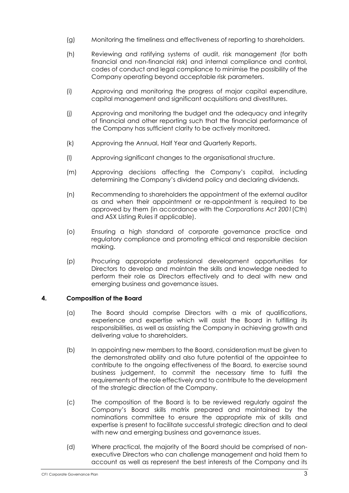- (g) Monitoring the timeliness and effectiveness of reporting to shareholders.
- (h) Reviewing and ratifying systems of audit, risk management (for both financial and non-financial risk) and internal compliance and control, codes of conduct and legal compliance to minimise the possibility of the Company operating beyond acceptable risk parameters.
- (i) Approving and monitoring the progress of major capital expenditure, capital management and significant acquisitions and divestitures.
- (j) Approving and monitoring the budget and the adequacy and integrity of financial and other reporting such that the financial performance of the Company has sufficient clarity to be actively monitored.
- (k) Approving the Annual, Half Year and Quarterly Reports.
- (l) Approving significant changes to the organisational structure.
- (m) Approving decisions affecting the Company's capital, including determining the Company's dividend policy and declaring dividends.
- (n) Recommending to shareholders the appointment of the external auditor as and when their appointment or re-appointment is required to be approved by them (in accordance with the *Corporations Act 2001*(Cth) and ASX Listing Rules if applicable).
- (o) Ensuring a high standard of corporate governance practice and regulatory compliance and promoting ethical and responsible decision making.
- (p) Procuring appropriate professional development opportunities for Directors to develop and maintain the skills and knowledge needed to perform their role as Directors effectively and to deal with new and emerging business and governance issues.

### **4. Composition of the Board**

- (a) The Board should comprise Directors with a mix of qualifications, experience and expertise which will assist the Board in fulfilling its responsibilities, as well as assisting the Company in achieving growth and delivering value to shareholders.
- (b) In appointing new members to the Board, consideration must be given to the demonstrated ability and also future potential of the appointee to contribute to the ongoing effectiveness of the Board, to exercise sound business judgement, to commit the necessary time to fulfil the requirements of the role effectively and to contribute to the development of the strategic direction of the Company.
- (c) The composition of the Board is to be reviewed regularly against the Company's Board skills matrix prepared and maintained by the nominations committee to ensure the appropriate mix of skills and expertise is present to facilitate successful strategic direction and to deal with new and emerging business and governance issues.
- (d) Where practical, the majority of the Board should be comprised of nonexecutive Directors who can challenge management and hold them to account as well as represent the best interests of the Company and its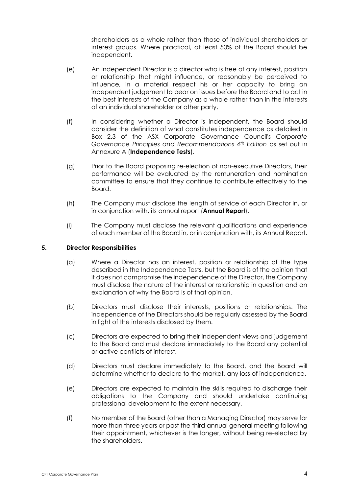shareholders as a whole rather than those of individual shareholders or interest groups. Where practical, at least 50% of the Board should be independent.

- (e) An independent Director is a director who is free of any interest, position or relationship that might influence, or reasonably be perceived to influence, in a material respect his or her capacity to bring an independent judgement to bear on issues before the Board and to act in the best interests of the Company as a whole rather than in the interests of an individual shareholder or other party.
- (f) In considering whether a Director is independent, the Board should consider the definition of what constitutes independence as detailed in Box 2.3 of the ASX Corporate Governance Council's *Corporate Governance Principles and Recommendations 4th Edition* as set out in Annexure A (**Independence Tests**).
- (g) Prior to the Board proposing re-election of non-executive Directors, their performance will be evaluated by the remuneration and nomination committee to ensure that they continue to contribute effectively to the Board.
- (h) The Company must disclose the length of service of each Director in, or in conjunction with, its annual report (**Annual Report**).
- (i) The Company must disclose the relevant qualifications and experience of each member of the Board in, or in conjunction with, its Annual Report.

### **5. Director Responsibilities**

- (a) Where a Director has an interest, position or relationship of the type described in the Independence Tests, but the Board is of the opinion that it does not compromise the independence of the Director, the Company must disclose the nature of the interest or relationship in question and an explanation of why the Board is of that opinion.
- (b) Directors must disclose their interests, positions or relationships. The independence of the Directors should be regularly assessed by the Board in light of the interests disclosed by them.
- (c) Directors are expected to bring their independent views and judgement to the Board and must declare immediately to the Board any potential or active conflicts of interest.
- (d) Directors must declare immediately to the Board, and the Board will determine whether to declare to the market, any loss of independence.
- (e) Directors are expected to maintain the skills required to discharge their obligations to the Company and should undertake continuing professional development to the extent necessary.
- (f) No member of the Board (other than a Managing Director) may serve for more than three years or past the third annual general meeting following their appointment, whichever is the longer, without being re-elected by the shareholders.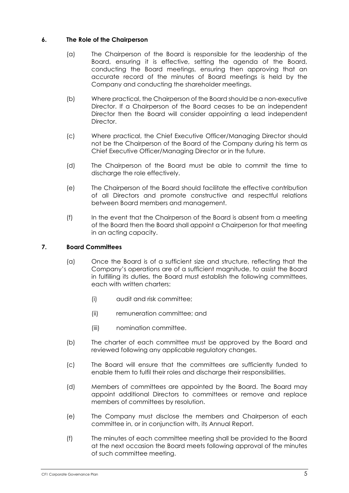### **6. The Role of the Chairperson**

- (a) The Chairperson of the Board is responsible for the leadership of the Board, ensuring it is effective, setting the agenda of the Board, conducting the Board meetings, ensuring then approving that an accurate record of the minutes of Board meetings is held by the Company and conducting the shareholder meetings.
- (b) Where practical, the Chairperson of the Board should be a non-executive Director. If a Chairperson of the Board ceases to be an independent Director then the Board will consider appointing a lead independent Director.
- (c) Where practical, the Chief Executive Officer/Managing Director should not be the Chairperson of the Board of the Company during his term as Chief Executive Officer/Managing Director or in the future.
- (d) The Chairperson of the Board must be able to commit the time to discharge the role effectively.
- (e) The Chairperson of the Board should facilitate the effective contribution of all Directors and promote constructive and respectful relations between Board members and management.
- (f) In the event that the Chairperson of the Board is absent from a meeting of the Board then the Board shall appoint a Chairperson for that meeting in an acting capacity.

### **7. Board Committees**

- (a) Once the Board is of a sufficient size and structure, reflecting that the Company's operations are of a sufficient magnitude, to assist the Board in fulfilling its duties, the Board must establish the following committees, each with written charters:
	- (i) audit and risk committee;
	- (ii) remuneration committee; and
	- (iii) nomination committee.
- (b) The charter of each committee must be approved by the Board and reviewed following any applicable regulatory changes.
- (c) The Board will ensure that the committees are sufficiently funded to enable them to fulfil their roles and discharge their responsibilities.
- (d) Members of committees are appointed by the Board. The Board may appoint additional Directors to committees or remove and replace members of committees by resolution.
- (e) The Company must disclose the members and Chairperson of each committee in, or in conjunction with, its Annual Report.
- (f) The minutes of each committee meeting shall be provided to the Board at the next occasion the Board meets following approval of the minutes of such committee meeting.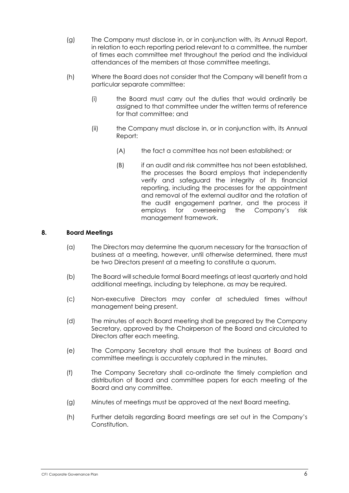- (g) The Company must disclose in, or in conjunction with, its Annual Report, in relation to each reporting period relevant to a committee, the number of times each committee met throughout the period and the individual attendances of the members at those committee meetings.
- (h) Where the Board does not consider that the Company will benefit from a particular separate committee:
	- (i) the Board must carry out the duties that would ordinarily be assigned to that committee under the written terms of reference for that committee; and
	- (ii) the Company must disclose in, or in conjunction with, its Annual Report:
		- (A) the fact a committee has not been established; or
		- (B) if an audit and risk committee has not been established, the processes the Board employs that independently verify and safeguard the integrity of its financial reporting, including the processes for the appointment and removal of the external auditor and the rotation of the audit engagement partner, and the process it employs for overseeing the Company's risk management framework.

### **8. Board Meetings**

- (a) The Directors may determine the quorum necessary for the transaction of business at a meeting, however, until otherwise determined, there must be two Directors present at a meeting to constitute a quorum.
- (b) The Board will schedule formal Board meetings at least quarterly and hold additional meetings, including by telephone, as may be required.
- (c) Non-executive Directors may confer at scheduled times without management being present.
- (d) The minutes of each Board meeting shall be prepared by the Company Secretary, approved by the Chairperson of the Board and circulated to Directors after each meeting.
- (e) The Company Secretary shall ensure that the business at Board and committee meetings is accurately captured in the minutes.
- (f) The Company Secretary shall co-ordinate the timely completion and distribution of Board and committee papers for each meeting of the Board and any committee.
- (g) Minutes of meetings must be approved at the next Board meeting.
- (h) Further details regarding Board meetings are set out in the Company's Constitution.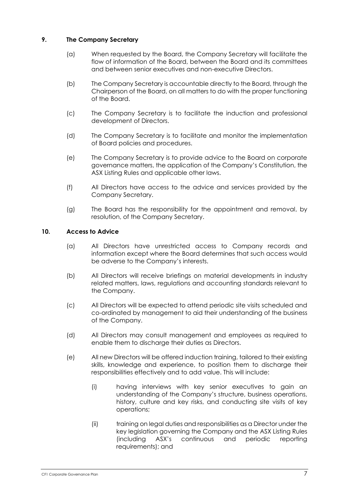### **9. The Company Secretary**

- (a) When requested by the Board, the Company Secretary will facilitate the flow of information of the Board, between the Board and its committees and between senior executives and non-executive Directors.
- (b) The Company Secretary is accountable directly to the Board, through the Chairperson of the Board, on all matters to do with the proper functioning of the Board.
- (c) The Company Secretary is to facilitate the induction and professional development of Directors.
- (d) The Company Secretary is to facilitate and monitor the implementation of Board policies and procedures.
- (e) The Company Secretary is to provide advice to the Board on corporate governance matters, the application of the Company's Constitution, the ASX Listing Rules and applicable other laws.
- (f) All Directors have access to the advice and services provided by the Company Secretary.
- (g) The Board has the responsibility for the appointment and removal, by resolution, of the Company Secretary.

### **10. Access to Advice**

- (a) All Directors have unrestricted access to Company records and information except where the Board determines that such access would be adverse to the Company's interests.
- (b) All Directors will receive briefings on material developments in industry related matters, laws, regulations and accounting standards relevant to the Company.
- (c) All Directors will be expected to attend periodic site visits scheduled and co-ordinated by management to aid their understanding of the business of the Company.
- (d) All Directors may consult management and employees as required to enable them to discharge their duties as Directors.
- (e) All new Directors will be offered induction training, tailored to their existing skills, knowledge and experience, to position them to discharge their responsibilities effectively and to add value. This will include:
	- (i) having interviews with key senior executives to gain an understanding of the Company's structure, business operations, history, culture and key risks, and conducting site visits of key operations;
	- (ii) training on legal duties and responsibilities as a Director under the key legislation governing the Company and the ASX Listing Rules (including ASX's continuous and periodic reporting requirements); and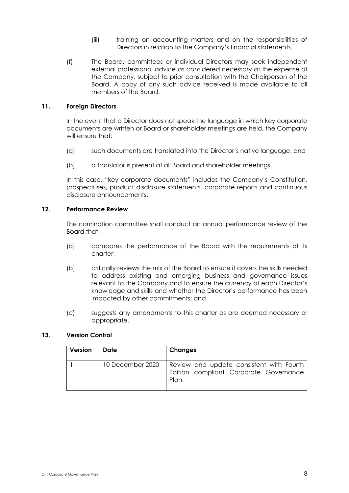- (iii) training on accounting matters and on the responsibilities of Directors in relation to the Company's financial statements.
- (f) The Board, committees or individual Directors may seek independent external professional advice as considered necessary at the expense of the Company, subject to prior consultation with the Chairperson of the Board. A copy of any such advice received is made available to all members of the Board.

#### **11. Foreign Directors**

In the event that a Director does not speak the language in which key corporate documents are written or Board or shareholder meetings are held, the Company will ensure that:

- (a) such documents are translated into the Director's native language; and
- (b) a translator is present at all Board and shareholder meetings.

In this case, "key corporate documents" includes the Company's Constitution, prospectuses, product disclosure statements, corporate reports and continuous disclosure announcements.

#### **12. Performance Review**

The nomination committee shall conduct an annual performance review of the Board that:

- (a) compares the performance of the Board with the requirements of its charter;
- (b) critically reviews the mix of the Board to ensure it covers the skills needed to address existing and emerging business and governance issues relevant to the Company and to ensure the currency of each Director's knowledge and skills and whether the Director's performance has been impacted by other commitments; and
- (c) suggests any amendments to this charter as are deemed necessary or appropriate.

### **13. Version Control**

| Version | Date             | Changes                                                                                    |
|---------|------------------|--------------------------------------------------------------------------------------------|
|         | 10 December 2020 | Review and update consistent with Fourth<br>Edition compliant Corporate Governance<br>Plan |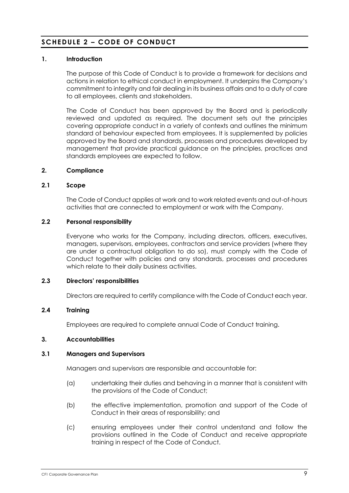## **SCHEDULE 2 – CODE OF CONDUCT**

### **1. Introduction**

The purpose of this Code of Conduct is to provide a framework for decisions and actions in relation to ethical conduct in employment. It underpins the Company's commitment to integrity and fair dealing in its business affairs and to a duty of care to all employees, clients and stakeholders.

The Code of Conduct has been approved by the Board and is periodically reviewed and updated as required. The document sets out the principles covering appropriate conduct in a variety of contexts and outlines the minimum standard of behaviour expected from employees. It is supplemented by policies approved by the Board and standards, processes and procedures developed by management that provide practical guidance on the principles, practices and standards employees are expected to follow.

### **2. Compliance**

#### **2.1 Scope**

The Code of Conduct applies at work and to work related events and out-of-hours activities that are connected to employment or work with the Company.

#### **2.2 Personal responsibility**

Everyone who works for the Company, including directors, officers, executives, managers, supervisors, employees, contractors and service providers (where they are under a contractual obligation to do so), must comply with the Code of Conduct together with policies and any standards, processes and procedures which relate to their daily business activities.

#### **2.3 Directors' responsibilities**

Directors are required to certify compliance with the Code of Conduct each year.

### **2.4 Training**

Employees are required to complete annual Code of Conduct training.

#### **3. Accountabilities**

#### **3.1 Managers and Supervisors**

Managers and supervisors are responsible and accountable for:

- (a) undertaking their duties and behaving in a manner that is consistent with the provisions of the Code of Conduct;
- (b) the effective implementation, promotion and support of the Code of Conduct in their areas of responsibility; and
- (c) ensuring employees under their control understand and follow the provisions outlined in the Code of Conduct and receive appropriate training in respect of the Code of Conduct.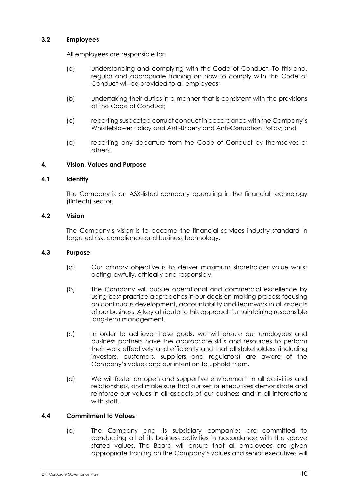### **3.2 Employees**

All employees are responsible for:

- (a) understanding and complying with the Code of Conduct. To this end, regular and appropriate training on how to comply with this Code of Conduct will be provided to all employees;
- (b) undertaking their duties in a manner that is consistent with the provisions of the Code of Conduct;
- (c) reporting suspected corrupt conduct in accordance with the Company's Whistleblower Policy and Anti-Bribery and Anti-Corruption Policy; and
- (d) reporting any departure from the Code of Conduct by themselves or others.

### **4. Vision, Values and Purpose**

#### **4.1 Identity**

The Company is an ASX-listed company operating in the financial technology (fintech) sector.

#### **4.2 Vision**

The Company's vision is to become the financial services industry standard in targeted risk, compliance and business technology.

#### **4.3 Purpose**

- (a) Our primary objective is to deliver maximum shareholder value whilst acting lawfully, ethically and responsibly.
- (b) The Company will pursue operational and commercial excellence by using best practice approaches in our decision-making process focusing on continuous development, accountability and teamwork in all aspects of our business. A key attribute to this approach is maintaining responsible long-term management.
- (c) In order to achieve these goals, we will ensure our employees and business partners have the appropriate skills and resources to perform their work effectively and efficiently and that all stakeholders (including investors, customers, suppliers and regulators) are aware of the Company's values and our intention to uphold them.
- (d) We will foster an open and supportive environment in all activities and relationships, and make sure that our senior executives demonstrate and reinforce our values in all aspects of our business and in all interactions with staff

### **4.4 Commitment to Values**

(a) The Company and its subsidiary companies are committed to conducting all of its business activities in accordance with the above stated values. The Board will ensure that all employees are given appropriate training on the Company's values and senior executives will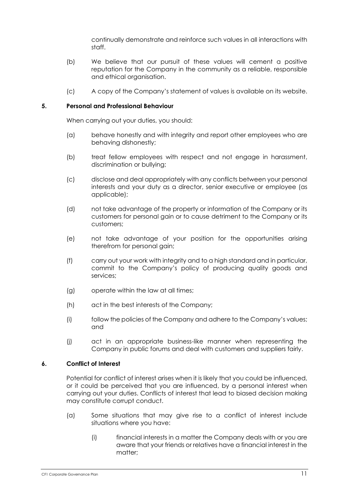continually demonstrate and reinforce such values in all interactions with staff.

- (b) We believe that our pursuit of these values will cement a positive reputation for the Company in the community as a reliable, responsible and ethical organisation.
- (c) A copy of the Company's statement of values is available on its website.

### **5. Personal and Professional Behaviour**

When carrying out your duties, you should:

- (a) behave honestly and with integrity and report other employees who are behaving dishonestly;
- (b) treat fellow employees with respect and not engage in harassment, discrimination or bullying;
- (c) disclose and deal appropriately with any conflicts between your personal interests and your duty as a director, senior executive or employee (as applicable);
- (d) not take advantage of the property or information of the Company or its customers for personal gain or to cause detriment to the Company or its customers;
- (e) not take advantage of your position for the opportunities arising therefrom for personal gain;
- (f) carry out your work with integrity and to a high standard and in particular, commit to the Company's policy of producing quality goods and services;
- (g) operate within the law at all times;
- (h) act in the best interests of the Company;
- (i) follow the policies of the Company and adhere to the Company's values; and
- (j) act in an appropriate business-like manner when representing the Company in public forums and deal with customers and suppliers fairly.

### **6. Conflict of Interest**

Potential for conflict of interest arises when it is likely that you could be influenced, or it could be perceived that you are influenced, by a personal interest when carrying out your duties. Conflicts of interest that lead to biased decision making may constitute corrupt conduct.

- (a) Some situations that may give rise to a conflict of interest include situations where you have:
	- (i) financial interests in a matter the Company deals with or you are aware that your friends or relatives have a financial interest in the matter;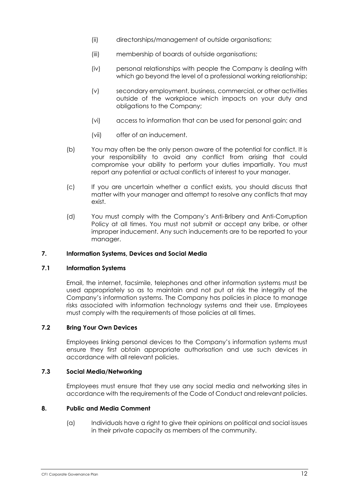- (ii) directorships/management of outside organisations;
- (iii) membership of boards of outside organisations;
- (iv) personal relationships with people the Company is dealing with which go beyond the level of a professional working relationship;
- (v) secondary employment, business, commercial, or other activities outside of the workplace which impacts on your duty and obligations to the Company;
- (vi) access to information that can be used for personal gain; and
- (vii) offer of an inducement.
- (b) You may often be the only person aware of the potential for conflict. It is your responsibility to avoid any conflict from arising that could compromise your ability to perform your duties impartially. You must report any potential or actual conflicts of interest to your manager.
- (c) If you are uncertain whether a conflict exists, you should discuss that matter with your manager and attempt to resolve any conflicts that may exist.
- (d) You must comply with the Company's Anti-Bribery and Anti-Corruption Policy at all times. You must not submit or accept any bribe, or other improper inducement. Any such inducements are to be reported to your manager.

#### **7. Information Systems, Devices and Social Media**

#### **7.1 Information Systems**

Email, the internet, facsimile, telephones and other information systems must be used appropriately so as to maintain and not put at risk the integrity of the Company's information systems. The Company has policies in place to manage risks associated with information technology systems and their use. Employees must comply with the requirements of those policies at all times.

### **7.2 Bring Your Own Devices**

Employees linking personal devices to the Company's information systems must ensure they first obtain appropriate authorisation and use such devices in accordance with all relevant policies.

#### **7.3 Social Media/Networking**

Employees must ensure that they use any social media and networking sites in accordance with the requirements of the Code of Conduct and relevant policies.

### **8. Public and Media Comment**

(a) Individuals have a right to give their opinions on political and social issues in their private capacity as members of the community.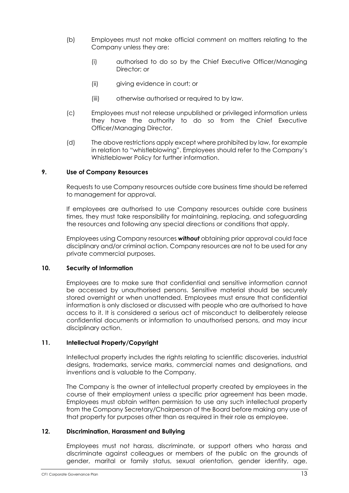- (b) Employees must not make official comment on matters relating to the Company unless they are:
	- (i) authorised to do so by the Chief Executive Officer/Managing Director; or
	- (ii) giving evidence in court; or
	- (iii) otherwise authorised or required to by law.
- (c) Employees must not release unpublished or privileged information unless they have the authority to do so from the Chief Executive Officer/Managing Director.
- (d) The above restrictions apply except where prohibited by law, for example in relation to "whistleblowing". Employees should refer to the Company's Whistleblower Policy for further information.

#### **9. Use of Company Resources**

Requests to use Company resources outside core business time should be referred to management for approval.

If employees are authorised to use Company resources outside core business times, they must take responsibility for maintaining, replacing, and safeguarding the resources and following any special directions or conditions that apply.

Employees using Company resources *without* obtaining prior approval could face disciplinary and/or criminal action. Company resources are not to be used for any private commercial purposes.

#### **10. Security of Information**

Employees are to make sure that confidential and sensitive information cannot be accessed by unauthorised persons. Sensitive material should be securely stored overnight or when unattended. Employees must ensure that confidential information is only disclosed or discussed with people who are authorised to have access to it. It is considered a serious act of misconduct to deliberately release confidential documents or information to unauthorised persons, and may incur disciplinary action.

### **11. Intellectual Property/Copyright**

Intellectual property includes the rights relating to scientific discoveries, industrial designs, trademarks, service marks, commercial names and designations, and inventions and is valuable to the Company.

The Company is the owner of intellectual property created by employees in the course of their employment unless a specific prior agreement has been made. Employees must obtain written permission to use any such intellectual property from the Company Secretary/Chairperson of the Board before making any use of that property for purposes other than as required in their role as employee.

#### **12. Discrimination, Harassment and Bullying**

Employees must not harass, discriminate, or support others who harass and discriminate against colleagues or members of the public on the grounds of gender, marital or family status, sexual orientation, gender identity, age,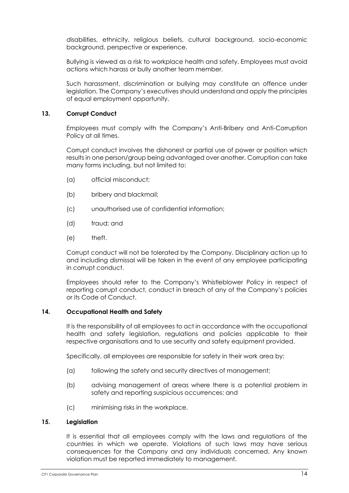disabilities, ethnicity, religious beliefs, cultural background, socio-economic background, perspective or experience.

Bullying is viewed as a risk to workplace health and safety. Employees must avoid actions which harass or bully another team member.

Such harassment, discrimination or bullying may constitute an offence under legislation. The Company's executives should understand and apply the principles of equal employment opportunity.

#### **13. Corrupt Conduct**

Employees must comply with the Company's Anti-Bribery and Anti-Corruption Policy at all times.

Corrupt conduct involves the dishonest or partial use of power or position which results in one person/group being advantaged over another. Corruption can take many forms including, but not limited to:

- (a) official misconduct;
- (b) bribery and blackmail;
- (c) unauthorised use of confidential information;
- (d) fraud; and
- (e) theft.

Corrupt conduct will not be tolerated by the Company. Disciplinary action up to and including dismissal will be taken in the event of any employee participating in corrupt conduct.

Employees should refer to the Company's Whistleblower Policy in respect of reporting corrupt conduct, conduct in breach of any of the Company's policies or its Code of Conduct.

#### **14. Occupational Health and Safety**

It is the responsibility of all employees to act in accordance with the occupational health and safety legislation, regulations and policies applicable to their respective organisations and to use security and safety equipment provided.

Specifically, all employees are responsible for safety in their work area by:

- (a) following the safety and security directives of management;
- (b) advising management of areas where there is a potential problem in safety and reporting suspicious occurrences; and
- (c) minimising risks in the workplace.

#### **15. Legislation**

It is essential that all employees comply with the laws and regulations of the countries in which we operate. Violations of such laws may have serious consequences for the Company and any individuals concerned. Any known violation must be reported immediately to management.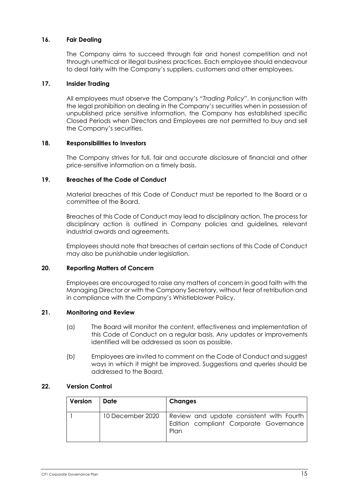### **16. Fair Dealing**

The Company aims to succeed through fair and honest competition and not through unethical or illegal business practices. Each employee should endeavour to deal fairly with the Company's suppliers, customers and other employees.

### **17. Insider Trading**

All employees must observe the Company's "*Trading Policy*". In conjunction with the legal prohibition on dealing in the Company's securities when in possession of unpublished price sensitive information, the Company has established specific Closed Periods when Directors and Employees are not permitted to buy and sell the Company's securities.

#### **18. Responsibilities to Investors**

The Company strives for full, fair and accurate disclosure of financial and other price-sensitive information on a timely basis.

#### **19. Breaches of the Code of Conduct**

Material breaches of this Code of Conduct must be reported to the Board or a committee of the Board.

Breaches of this Code of Conduct may lead to disciplinary action. The process for disciplinary action is outlined in Company policies and guidelines, relevant industrial awards and agreements.

Employees should note that breaches of certain sections of this Code of Conduct may also be punishable under legislation.

#### **20. Reporting Matters of Concern**

Employees are encouraged to raise any matters of concern in good faith with the Managing Director or with the Company Secretary, without fear of retribution and in compliance with the Company's Whistleblower Policy.

### **21. Monitoring and Review**

- (a) The Board will monitor the content, effectiveness and implementation of this Code of Conduct on a regular basis. Any updates or improvements identified will be addressed as soon as possible.
- (b) Employees are invited to comment on the Code of Conduct and suggest ways in which it might be improved. Suggestions and queries should be addressed to the Board.

#### **22. Version Control**

| Version | Date             | <b>Changes</b>                                                                             |
|---------|------------------|--------------------------------------------------------------------------------------------|
|         | 10 December 2020 | Review and update consistent with Fourth<br>Edition compliant Corporate Governance<br>Plan |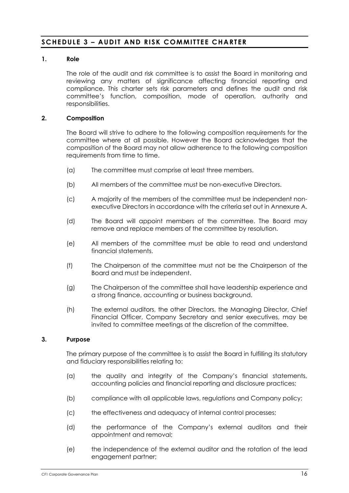## **SCHEDULE 3 – AUDI T AND RISK COMMITTEE CHARTER**

### **1. Role**

The role of the audit and risk committee is to assist the Board in monitoring and reviewing any matters of significance affecting financial reporting and compliance. This charter sets risk parameters and defines the audit and risk committee's function, composition, mode of operation, authority and responsibilities.

#### **2. Composition**

The Board will strive to adhere to the following composition requirements for the committee where at all possible. However the Board acknowledges that the composition of the Board may not allow adherence to the following composition requirements from time to time.

- (a) The committee must comprise at least three members.
- (b) All members of the committee must be non-executive Directors.
- (c) A majority of the members of the committee must be independent nonexecutive Directors in accordance with the criteria set out in Annexure A.
- (d) The Board will appoint members of the committee. The Board may remove and replace members of the committee by resolution.
- (e) All members of the committee must be able to read and understand financial statements.
- (f) The Chairperson of the committee must not be the Chairperson of the Board and must be independent.
- (g) The Chairperson of the committee shall have leadership experience and a strong finance, accounting or business background.
- (h) The external auditors, the other Directors, the Managing Director, Chief Financial Officer, Company Secretary and senior executives, may be invited to committee meetings at the discretion of the committee.

#### **3. Purpose**

The primary purpose of the committee is to assist the Board in fulfilling its statutory and fiduciary responsibilities relating to:

- (a) the quality and integrity of the Company's financial statements, accounting policies and financial reporting and disclosure practices;
- (b) compliance with all applicable laws, regulations and Company policy;
- (c) the effectiveness and adequacy of internal control processes;
- (d) the performance of the Company's external auditors and their appointment and removal;
- (e) the independence of the external auditor and the rotation of the lead engagement partner;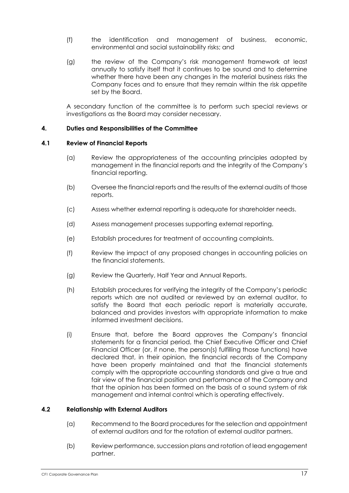- (f) the identification and management of business, economic, environmental and social sustainability risks; and
- (g) the review of the Company's risk management framework at least annually to satisfy itself that it continues to be sound and to determine whether there have been any changes in the material business risks the Company faces and to ensure that they remain within the risk appetite set by the Board.

A secondary function of the committee is to perform such special reviews or investigations as the Board may consider necessary.

### **4. Duties and Responsibilities of the Committee**

#### **4.1 Review of Financial Reports**

- (a) Review the appropriateness of the accounting principles adopted by management in the financial reports and the integrity of the Company's financial reporting.
- (b) Oversee the financial reports and the results of the external audits of those reports.
- (c) Assess whether external reporting is adequate for shareholder needs.
- (d) Assess management processes supporting external reporting.
- (e) Establish procedures for treatment of accounting complaints.
- (f) Review the impact of any proposed changes in accounting policies on the financial statements.
- (g) Review the Quarterly, Half Year and Annual Reports.
- (h) Establish procedures for verifying the integrity of the Company's periodic reports which are not audited or reviewed by an external auditor, to satisfy the Board that each periodic report is materially accurate, balanced and provides investors with appropriate information to make informed investment decisions.
- (i) Ensure that, before the Board approves the Company's financial statements for a financial period, the Chief Executive Officer and Chief Financial Officer (or, if none, the person(s) fulfilling those functions) have declared that, in their opinion, the financial records of the Company have been properly maintained and that the financial statements comply with the appropriate accounting standards and give a true and fair view of the financial position and performance of the Company and that the opinion has been formed on the basis of a sound system of risk management and internal control which is operating effectively.

### **4.2 Relationship with External Auditors**

- (a) Recommend to the Board procedures for the selection and appointment of external auditors and for the rotation of external auditor partners.
- (b) Review performance, succession plans and rotation of lead engagement partner.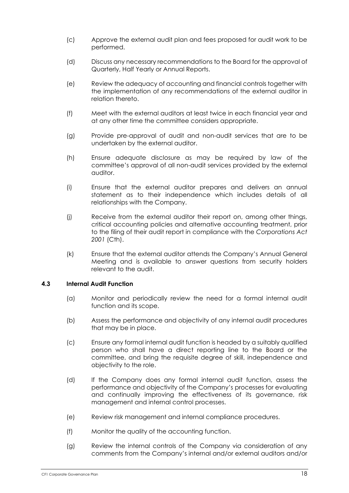- (c) Approve the external audit plan and fees proposed for audit work to be performed.
- (d) Discuss any necessary recommendations to the Board for the approval of Quarterly, Half Yearly or Annual Reports.
- (e) Review the adequacy of accounting and financial controls together with the implementation of any recommendations of the external auditor in relation thereto.
- (f) Meet with the external auditors at least twice in each financial year and at any other time the committee considers appropriate.
- (g) Provide pre-approval of audit and non-audit services that are to be undertaken by the external auditor.
- (h) Ensure adequate disclosure as may be required by law of the committee's approval of all non-audit services provided by the external auditor.
- (i) Ensure that the external auditor prepares and delivers an annual statement as to their independence which includes details of all relationships with the Company.
- (j) Receive from the external auditor their report on, among other things, critical accounting policies and alternative accounting treatment, prior to the filing of their audit report in compliance with the *Corporations Act 2001* (Cth).
- (k) Ensure that the external auditor attends the Company's Annual General Meeting and is available to answer questions from security holders relevant to the audit.

### **4.3 Internal Audit Function**

- (a) Monitor and periodically review the need for a formal internal audit function and its scope.
- (b) Assess the performance and objectivity of any internal audit procedures that may be in place.
- (c) Ensure any formal internal audit function is headed by a suitably qualified person who shall have a direct reporting line to the Board or the committee, and bring the requisite degree of skill, independence and objectivity to the role.
- (d) If the Company does any formal internal audit function, assess the performance and objectivity of the Company's processes for evaluating and continually improving the effectiveness of its governance, risk management and internal control processes.
- (e) Review risk management and internal compliance procedures.
- (f) Monitor the quality of the accounting function.
- (g) Review the internal controls of the Company via consideration of any comments from the Company's internal and/or external auditors and/or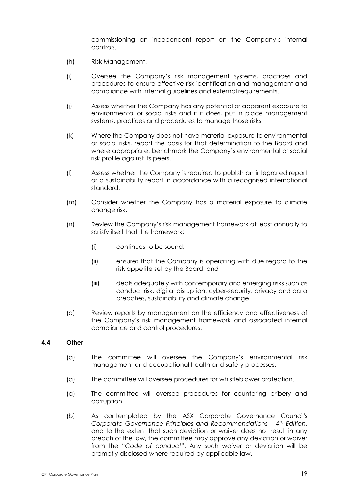commissioning an independent report on the Company's internal controls.

- (h) Risk Management.
- (i) Oversee the Company's risk management systems, practices and procedures to ensure effective risk identification and management and compliance with internal guidelines and external requirements.
- (j) Assess whether the Company has any potential or apparent exposure to environmental or social risks and if it does, put in place management systems, practices and procedures to manage those risks.
- (k) Where the Company does not have material exposure to environmental or social risks, report the basis for that determination to the Board and where appropriate, benchmark the Company's environmental or social risk profile against its peers.
- (l) Assess whether the Company is required to publish an integrated report or a sustainability report in accordance with a recognised international standard.
- (m) Consider whether the Company has a material exposure to climate change risk.
- (n) Review the Company's risk management framework at least annually to satisfy itself that the framework:
	- (i) continues to be sound;
	- (ii) ensures that the Company is operating with due regard to the risk appetite set by the Board; and
	- (iii) deals adequately with contemporary and emerging risks such as conduct risk, digital disruption, cyber-security, privacy and data breaches, sustainability and climate change.
- (o) Review reports by management on the efficiency and effectiveness of the Company's risk management framework and associated internal compliance and control procedures.

### **4.4 Other**

- (a) The committee will oversee the Company's environmental risk management and occupational health and safety processes.
- (a) The committee will oversee procedures for whistleblower protection.
- (a) The committee will oversee procedures for countering bribery and corruption.
- (b) As contemplated by the ASX Corporate Governance Council's *Corporate Governance Principles and Recommendations – 4th Edition*, and to the extent that such deviation or waiver does not result in any breach of the law, the committee may approve any deviation or waiver from the "*Code of conduct*". Any such waiver or deviation will be promptly disclosed where required by applicable law.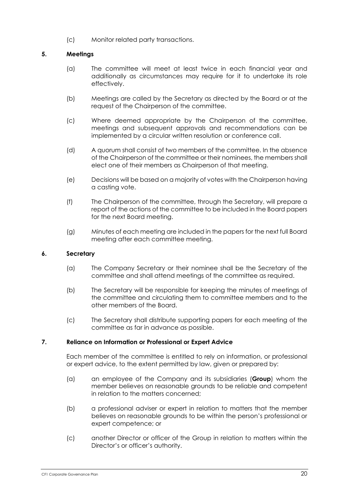(c) Monitor related party transactions.

### **5. Meetings**

- (a) The committee will meet at least twice in each financial year and additionally as circumstances may require for it to undertake its role effectively.
- (b) Meetings are called by the Secretary as directed by the Board or at the request of the Chairperson of the committee.
- (c) Where deemed appropriate by the Chairperson of the committee, meetings and subsequent approvals and recommendations can be implemented by a circular written resolution or conference call.
- (d) A quorum shall consist of two members of the committee. In the absence of the Chairperson of the committee or their nominees, the members shall elect one of their members as Chairperson of that meeting.
- (e) Decisions will be based on a majority of votes with the Chairperson having a casting vote.
- (f) The Chairperson of the committee, through the Secretary, will prepare a report of the actions of the committee to be included in the Board papers for the next Board meeting.
- (g) Minutes of each meeting are included in the papers for the next full Board meeting after each committee meeting.

### **6. Secretary**

- (a) The Company Secretary or their nominee shall be the Secretary of the committee and shall attend meetings of the committee as required.
- (b) The Secretary will be responsible for keeping the minutes of meetings of the committee and circulating them to committee members and to the other members of the Board.
- (c) The Secretary shall distribute supporting papers for each meeting of the committee as far in advance as possible.

### **7. Reliance on Information or Professional or Expert Advice**

Each member of the committee is entitled to rely on information, or professional or expert advice, to the extent permitted by law, given or prepared by:

- (a) an employee of the Company and its subsidiaries (**Group**) whom the member believes on reasonable grounds to be reliable and competent in relation to the matters concerned;
- (b) a professional adviser or expert in relation to matters that the member believes on reasonable grounds to be within the person's professional or expert competence; or
- (c) another Director or officer of the Group in relation to matters within the Director's or officer's authority.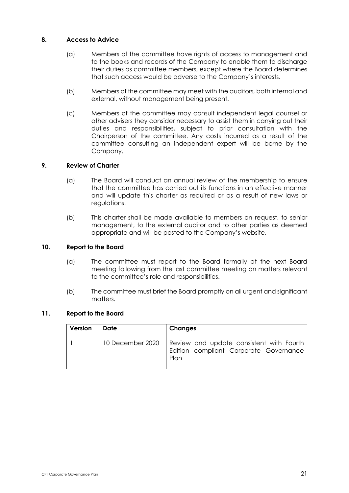### **8. Access to Advice**

- (a) Members of the committee have rights of access to management and to the books and records of the Company to enable them to discharge their duties as committee members, except where the Board determines that such access would be adverse to the Company's interests.
- (b) Members of the committee may meet with the auditors, both internal and external, without management being present.
- (c) Members of the committee may consult independent legal counsel or other advisers they consider necessary to assist them in carrying out their duties and responsibilities, subject to prior consultation with the Chairperson of the committee. Any costs incurred as a result of the committee consulting an independent expert will be borne by the Company.

### **9. Review of Charter**

- (a) The Board will conduct an annual review of the membership to ensure that the committee has carried out its functions in an effective manner and will update this charter as required or as a result of new laws or regulations.
- (b) This charter shall be made available to members on request, to senior management, to the external auditor and to other parties as deemed appropriate and will be posted to the Company's website.

### **10. Report to the Board**

- (a) The committee must report to the Board formally at the next Board meeting following from the last committee meeting on matters relevant to the committee's role and responsibilities.
- (b) The committee must brief the Board promptly on all urgent and significant matters.

### **11. Report to the Board**

| Version | Date             | Changes                                                                                    |
|---------|------------------|--------------------------------------------------------------------------------------------|
|         | 10 December 2020 | Review and update consistent with Fourth<br>Edition compliant Corporate Governance<br>Plan |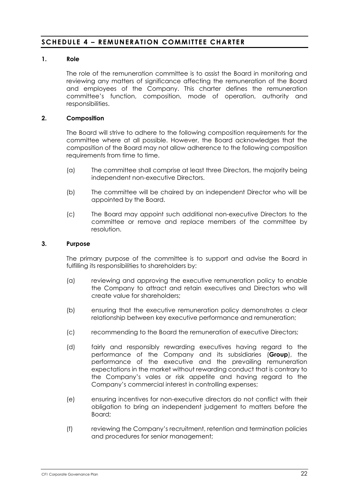## **SCHEDULE 4 – REMUNERATION COMMITTEE CHARTER**

### **1. Role**

The role of the remuneration committee is to assist the Board in monitoring and reviewing any matters of significance affecting the remuneration of the Board and employees of the Company. This charter defines the remuneration committee's function, composition, mode of operation, authority and responsibilities.

#### **2. Composition**

The Board will strive to adhere to the following composition requirements for the committee where at all possible. However, the Board acknowledges that the composition of the Board may not allow adherence to the following composition requirements from time to time.

- (a) The committee shall comprise at least three Directors, the majority being independent non-executive Directors.
- (b) The committee will be chaired by an independent Director who will be appointed by the Board.
- (c) The Board may appoint such additional non-executive Directors to the committee or remove and replace members of the committee by resolution.

#### **3. Purpose**

The primary purpose of the committee is to support and advise the Board in fulfilling its responsibilities to shareholders by:

- (a) reviewing and approving the executive remuneration policy to enable the Company to attract and retain executives and Directors who will create value for shareholders;
- (b) ensuring that the executive remuneration policy demonstrates a clear relationship between key executive performance and remuneration;
- (c) recommending to the Board the remuneration of executive Directors;
- (d) fairly and responsibly rewarding executives having regard to the performance of the Company and its subsidiaries (**Group**), the performance of the executive and the prevailing remuneration expectations in the market without rewarding conduct that is contrary to the Company's vales or risk appetite and having regard to the Company's commercial interest in controlling expenses;
- (e) ensuring incentives for non-executive directors do not conflict with their obligation to bring an independent judgement to matters before the Board;
- (f) reviewing the Company's recruitment, retention and termination policies and procedures for senior management;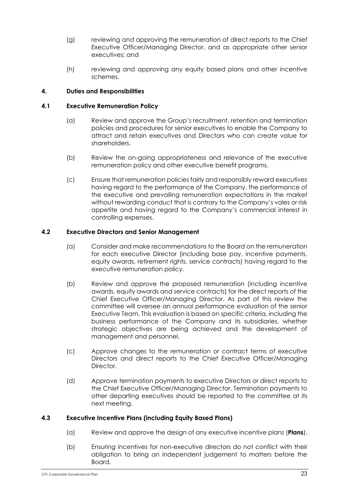- (g) reviewing and approving the remuneration of direct reports to the Chief Executive Officer/Managing Director, and as appropriate other senior executives; and
- (h) reviewing and approving any equity based plans and other incentive schemes.

### **4. Duties and Responsibilities**

#### **4.1 Executive Remuneration Policy**

- (a) Review and approve the Group's recruitment, retention and termination policies and procedures for senior executives to enable the Company to attract and retain executives and Directors who can create value for shareholders.
- (b) Review the on-going appropriateness and relevance of the executive remuneration policy and other executive benefit programs.
- (c) Ensure that remuneration policies fairly and responsibly reward executives having regard to the performance of the Company, the performance of the executive and prevailing remuneration expectations in the market without rewarding conduct that is contrary to the Company's vales or risk appetite and having regard to the Company's commercial interest in controlling expenses.

#### **4.2 Executive Directors and Senior Management**

- (a) Consider and make recommendations to the Board on the remuneration for each executive Director (including base pay, incentive payments, equity awards, retirement rights, service contracts) having regard to the executive remuneration policy.
- (b) Review and approve the proposed remuneration (including incentive awards, equity awards and service contracts) for the direct reports of the Chief Executive Officer/Managing Director. As part of this review the committee will oversee an annual performance evaluation of the senior Executive Team. This evaluation is based on specific criteria, including the business performance of the Company and its subsidiaries, whether strategic objectives are being achieved and the development of management and personnel.
- (c) Approve changes to the remuneration or contract terms of executive Directors and direct reports to the Chief Executive Officer/Managing Director.
- (d) Approve termination payments to executive Directors or direct reports to the Chief Executive Officer/Managing Director. Termination payments to other departing executives should be reported to the committee at its next meeting.

### **4.3 Executive Incentive Plans (including Equity Based Plans)**

- (a) Review and approve the design of any executive incentive plans (**Plans**).
- (b) Ensuring incentives for non-executive directors do not conflict with their obligation to bring an independent judgement to matters before the Board.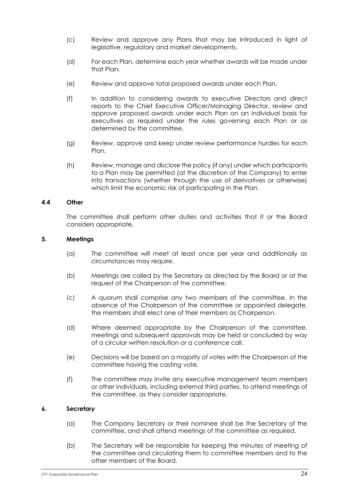- (c) Review and approve any Plans that may be introduced in light of legislative, regulatory and market developments.
- (d) For each Plan, determine each year whether awards will be made under that Plan.
- (e) Review and approve total proposed awards under each Plan.
- (f) In addition to considering awards to executive Directors and direct reports to the Chief Executive Officer/Managing Director, review and approve proposed awards under each Plan on an individual basis for executives as required under the rules governing each Plan or as determined by the committee.
- (g) Review, approve and keep under review performance hurdles for each Plan.
- (h) Review, manage and disclose the policy (if any) under which participants to a Plan may be permitted (at the discretion of the Company) to enter into transactions (whether through the use of derivatives or otherwise) which limit the economic risk of participating in the Plan.

### **4.4 Other**

The committee shall perform other duties and activities that it or the Board considers appropriate.

#### **5. Meetings**

- (a) The committee will meet at least once per year and additionally as circumstances may require.
- (b) Meetings are called by the Secretary as directed by the Board or at the request of the Chairperson of the committee.
- (c) A quorum shall comprise any two members of the committee. In the absence of the Chairperson of the committee or appointed delegate, the members shall elect one of their members as Chairperson.
- (d) Where deemed appropriate by the Chairperson of the committee, meetings and subsequent approvals may be held or concluded by way of a circular written resolution or a conference call.
- (e) Decisions will be based on a majority of votes with the Chairperson of the committee having the casting vote.
- (f) The committee may invite any executive management team members or other individuals, including external third parties, to attend meetings of the committee, as they consider appropriate.

#### **6. Secretary**

- (a) The Company Secretary or their nominee shall be the Secretary of the committee, and shall attend meetings of the committee as required.
- (b) The Secretary will be responsible for keeping the minutes of meeting of the committee and circulating them to committee members and to the other members of the Board.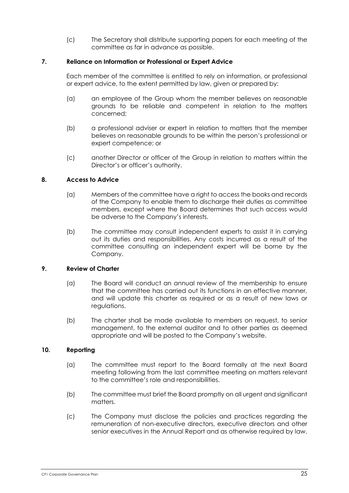(c) The Secretary shall distribute supporting papers for each meeting of the committee as far in advance as possible.

### **7. Reliance on Information or Professional or Expert Advice**

Each member of the committee is entitled to rely on information, or professional or expert advice, to the extent permitted by law, given or prepared by:

- (a) an employee of the Group whom the member believes on reasonable grounds to be reliable and competent in relation to the matters concerned;
- (b) a professional adviser or expert in relation to matters that the member believes on reasonable grounds to be within the person's professional or expert competence; or
- (c) another Director or officer of the Group in relation to matters within the Director's or officer's authority.

### **8. Access to Advice**

- (a) Members of the committee have a right to access the books and records of the Company to enable them to discharge their duties as committee members, except where the Board determines that such access would be adverse to the Company's interests.
- (b) The committee may consult independent experts to assist it in carrying out its duties and responsibilities. Any costs incurred as a result of the committee consulting an independent expert will be borne by the Company.

#### **9. Review of Charter**

- (a) The Board will conduct an annual review of the membership to ensure that the committee has carried out its functions in an effective manner, and will update this charter as required or as a result of new laws or regulations.
- (b) The charter shall be made available to members on request, to senior management, to the external auditor and to other parties as deemed appropriate and will be posted to the Company's website.

#### **10. Reporting**

- (a) The committee must report to the Board formally at the next Board meeting following from the last committee meeting on matters relevant to the committee's role and responsibilities.
- (b) The committee must brief the Board promptly on all urgent and significant matters.
- (c) The Company must disclose the policies and practices regarding the remuneration of non-executive directors, executive directors and other senior executives in the Annual Report and as otherwise required by law.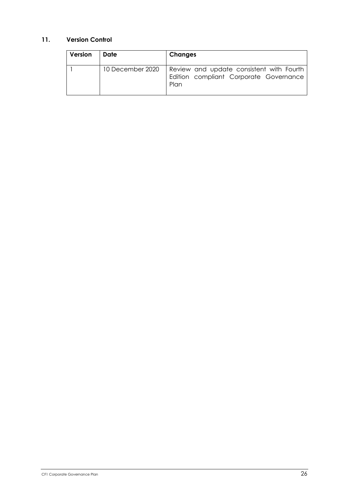## **11. Version Control**

| Version | Date             | <b>Changes</b>                                                                             |
|---------|------------------|--------------------------------------------------------------------------------------------|
|         | 10 December 2020 | Review and update consistent with Fourth<br>Edition compliant Corporate Governance<br>Plan |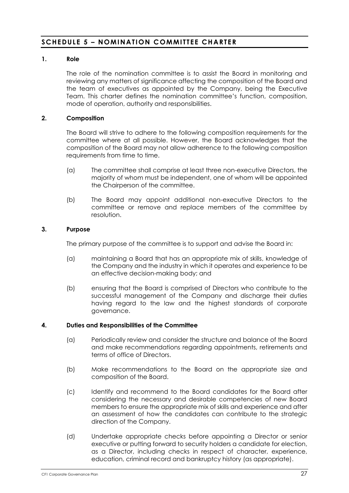## **SCHEDULE 5 – NOMINATION C OMMITTEE CHARTER**

### **1. Role**

The role of the nomination committee is to assist the Board in monitoring and reviewing any matters of significance affecting the composition of the Board and the team of executives as appointed by the Company, being the Executive Team. This charter defines the nomination committee's function, composition, mode of operation, authority and responsibilities.

#### **2. Composition**

The Board will strive to adhere to the following composition requirements for the committee where at all possible. However, the Board acknowledges that the composition of the Board may not allow adherence to the following composition requirements from time to time.

- (a) The committee shall comprise at least three non-executive Directors, the majority of whom must be independent, one of whom will be appointed the Chairperson of the committee.
- (b) The Board may appoint additional non-executive Directors to the committee or remove and replace members of the committee by resolution.

#### **3. Purpose**

The primary purpose of the committee is to support and advise the Board in:

- (a) maintaining a Board that has an appropriate mix of skills, knowledge of the Company and the industry in which it operates and experience to be an effective decision-making body; and
- (b) ensuring that the Board is comprised of Directors who contribute to the successful management of the Company and discharge their duties having regard to the law and the highest standards of corporate governance.

#### **4. Duties and Responsibilities of the Committee**

- (a) Periodically review and consider the structure and balance of the Board and make recommendations regarding appointments, retirements and terms of office of Directors.
- (b) Make recommendations to the Board on the appropriate size and composition of the Board.
- (c) Identify and recommend to the Board candidates for the Board after considering the necessary and desirable competencies of new Board members to ensure the appropriate mix of skills and experience and after an assessment of how the candidates can contribute to the strategic direction of the Company.
- (d) Undertake appropriate checks before appointing a Director or senior executive or putting forward to security holders a candidate for election, as a Director, including checks in respect of character, experience, education, criminal record and bankruptcy history (as appropriate).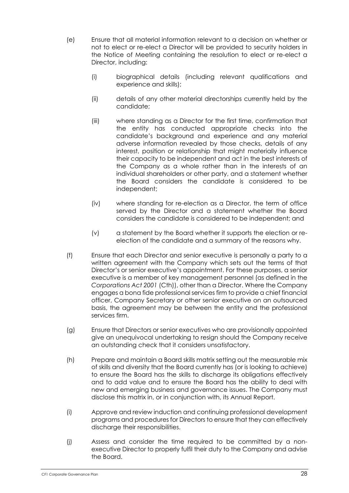- (e) Ensure that all material information relevant to a decision on whether or not to elect or re-elect a Director will be provided to security holders in the Notice of Meeting containing the resolution to elect or re-elect a Director, including:
	- (i) biographical details (including relevant qualifications and experience and skills);
	- (ii) details of any other material directorships currently held by the candidate;
	- (iii) where standing as a Director for the first time, confirmation that the entity has conducted appropriate checks into the candidate's background and experience and any material adverse information revealed by those checks, details of any interest, position or relationship that might materially influence their capacity to be independent and act in the best interests of the Company as a whole rather than in the interests of an individual shareholders or other party, and a statement whether the Board considers the candidate is considered to be independent;
	- (iv) where standing for re-election as a Director, the term of office served by the Director and a statement whether the Board considers the candidate is considered to be independent; and
	- (v) a statement by the Board whether it supports the election or reelection of the candidate and a summary of the reasons why.
- (f) Ensure that each Director and senior executive is personally a party to a written agreement with the Company which sets out the terms of that Director's or senior executive's appointment. For these purposes, a senior executive is a member of key management personnel (as defined in the *Corporations Act 2001* (Cth)), other than a Director. Where the Company engages a bona fide professional services firm to provide a chief financial officer, Company Secretary or other senior executive on an outsourced basis, the agreement may be between the entity and the professional services firm.
- (g) Ensure that Directors or senior executives who are provisionally appointed give an unequivocal undertaking to resign should the Company receive an outstanding check that it considers unsatisfactory.
- (h) Prepare and maintain a Board skills matrix setting out the measurable mix of skills and diversity that the Board currently has (or is looking to achieve) to ensure the Board has the skills to discharge its obligations effectively and to add value and to ensure the Board has the ability to deal with new and emerging business and governance issues. The Company must disclose this matrix in, or in conjunction with, its Annual Report.
- (i) Approve and review induction and continuing professional development programs and procedures for Directors to ensure that they can effectively discharge their responsibilities.
- (j) Assess and consider the time required to be committed by a nonexecutive Director to properly fulfil their duty to the Company and advise the Board.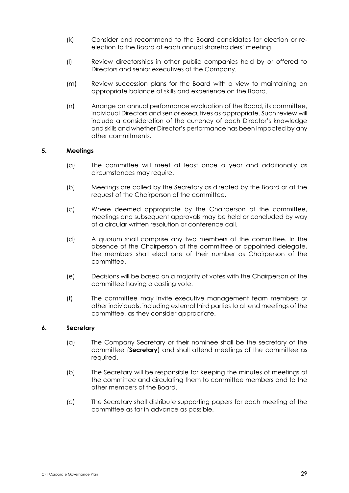- (k) Consider and recommend to the Board candidates for election or reelection to the Board at each annual shareholders' meeting.
- (l) Review directorships in other public companies held by or offered to Directors and senior executives of the Company.
- (m) Review succession plans for the Board with a view to maintaining an appropriate balance of skills and experience on the Board.
- (n) Arrange an annual performance evaluation of the Board, its committee, individual Directors and senior executives as appropriate. Such review will include a consideration of the currency of each Director's knowledge and skills and whether Director's performance has been impacted by any other commitments.

### **5. Meetings**

- (a) The committee will meet at least once a year and additionally as circumstances may require.
- (b) Meetings are called by the Secretary as directed by the Board or at the request of the Chairperson of the committee.
- (c) Where deemed appropriate by the Chairperson of the committee, meetings and subsequent approvals may be held or concluded by way of a circular written resolution or conference call.
- (d) A quorum shall comprise any two members of the committee. In the absence of the Chairperson of the committee or appointed delegate, the members shall elect one of their number as Chairperson of the committee.
- (e) Decisions will be based on a majority of votes with the Chairperson of the committee having a casting vote.
- (f) The committee may invite executive management team members or other individuals, including external third parties to attend meetings of the committee, as they consider appropriate.

#### **6. Secretary**

- (a) The Company Secretary or their nominee shall be the secretary of the committee (**Secretary**) and shall attend meetings of the committee as required.
- (b) The Secretary will be responsible for keeping the minutes of meetings of the committee and circulating them to committee members and to the other members of the Board.
- (c) The Secretary shall distribute supporting papers for each meeting of the committee as far in advance as possible.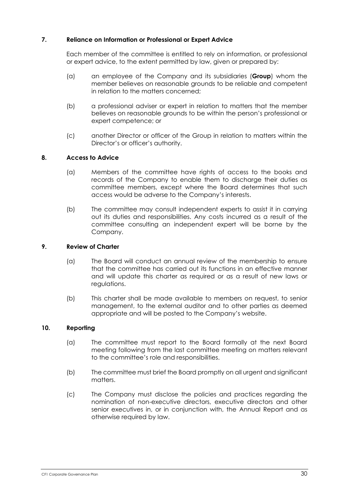### **7. Reliance on Information or Professional or Expert Advice**

Each member of the committee is entitled to rely on information, or professional or expert advice, to the extent permitted by law, given or prepared by:

- (a) an employee of the Company and its subsidiaries (**Group**) whom the member believes on reasonable grounds to be reliable and competent in relation to the matters concerned;
- (b) a professional adviser or expert in relation to matters that the member believes on reasonable grounds to be within the person's professional or expert competence; or
- (c) another Director or officer of the Group in relation to matters within the Director's or officer's authority.

### **8. Access to Advice**

- (a) Members of the committee have rights of access to the books and records of the Company to enable them to discharge their duties as committee members, except where the Board determines that such access would be adverse to the Company's interests.
- (b) The committee may consult independent experts to assist it in carrying out its duties and responsibilities. Any costs incurred as a result of the committee consulting an independent expert will be borne by the Company.

### **9. Review of Charter**

- (a) The Board will conduct an annual review of the membership to ensure that the committee has carried out its functions in an effective manner and will update this charter as required or as a result of new laws or regulations.
- (b) This charter shall be made available to members on request, to senior management, to the external auditor and to other parties as deemed appropriate and will be posted to the Company's website.

### **10. Reporting**

- (a) The committee must report to the Board formally at the next Board meeting following from the last committee meeting on matters relevant to the committee's role and responsibilities.
- (b) The committee must brief the Board promptly on all urgent and significant matters.
- (c) The Company must disclose the policies and practices regarding the nomination of non-executive directors, executive directors and other senior executives in, or in conjunction with, the Annual Report and as otherwise required by law.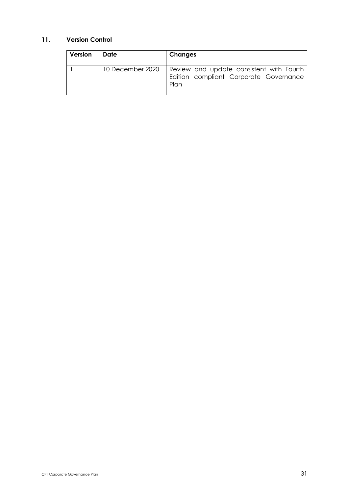## **11. Version Control**

| Version | Date             | <b>Changes</b>                                                                             |
|---------|------------------|--------------------------------------------------------------------------------------------|
|         | 10 December 2020 | Review and update consistent with Fourth<br>Edition compliant Corporate Governance<br>Plan |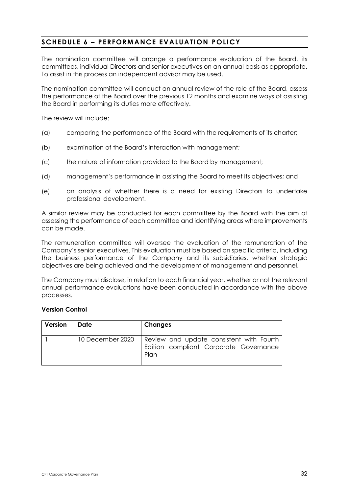# **SCHEDULE 6 – PERFORMANCE EVALUATION POLICY**

The nomination committee will arrange a performance evaluation of the Board, its committees, individual Directors and senior executives on an annual basis as appropriate. To assist in this process an independent advisor may be used.

The nomination committee will conduct an annual review of the role of the Board, assess the performance of the Board over the previous 12 months and examine ways of assisting the Board in performing its duties more effectively.

The review will include:

- (a) comparing the performance of the Board with the requirements of its charter;
- (b) examination of the Board's interaction with management;
- (c) the nature of information provided to the Board by management;
- (d) management's performance in assisting the Board to meet its objectives; and
- (e) an analysis of whether there is a need for existing Directors to undertake professional development.

A similar review may be conducted for each committee by the Board with the aim of assessing the performance of each committee and identifying areas where improvements can be made.

The remuneration committee will oversee the evaluation of the remuneration of the Company's senior executives. This evaluation must be based on specific criteria, including the business performance of the Company and its subsidiaries, whether strategic objectives are being achieved and the development of management and personnel.

The Company must disclose, in relation to each financial year, whether or not the relevant annual performance evaluations have been conducted in accordance with the above processes.

#### **Version Control**

| Version | Date             | Changes                                                                                    |
|---------|------------------|--------------------------------------------------------------------------------------------|
|         | 10 December 2020 | Review and update consistent with Fourth<br>Edition compliant Corporate Governance<br>Plan |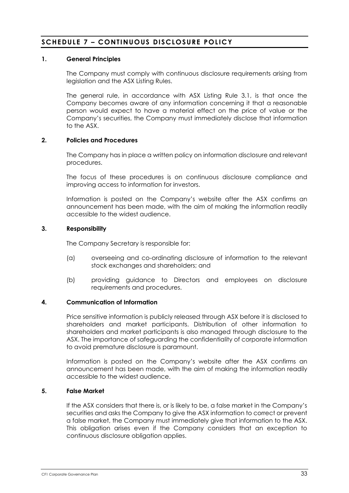# **SCHEDULE 7 – CONTINUOUS DISCLOSURE POLICY**

### **1. General Principles**

The Company must comply with continuous disclosure requirements arising from legislation and the ASX Listing Rules.

The general rule, in accordance with ASX Listing Rule 3.1, is that once the Company becomes aware of any information concerning it that a reasonable person would expect to have a material effect on the price of value or the Company's securities, the Company must immediately disclose that information to the ASX.

#### **2. Policies and Procedures**

The Company has in place a written policy on information disclosure and relevant procedures.

The focus of these procedures is on continuous disclosure compliance and improving access to information for investors.

Information is posted on the Company's website after the ASX confirms an announcement has been made, with the aim of making the information readily accessible to the widest audience.

#### **3. Responsibility**

The Company Secretary is responsible for:

- (a) overseeing and co-ordinating disclosure of information to the relevant stock exchanges and shareholders; and
- (b) providing guidance to Directors and employees on disclosure requirements and procedures.

#### **4. Communication of Information**

Price sensitive information is publicly released through ASX before it is disclosed to shareholders and market participants. Distribution of other information to shareholders and market participants is also managed through disclosure to the ASX. The importance of safeguarding the confidentiality of corporate information to avoid premature disclosure is paramount.

Information is posted on the Company's website after the ASX confirms an announcement has been made, with the aim of making the information readily accessible to the widest audience.

#### **5. False Market**

If the ASX considers that there is, or is likely to be, a false market in the Company's securities and asks the Company to give the ASX information to correct or prevent a false market, the Company must immediately give that information to the ASX. This obligation arises even if the Company considers that an exception to continuous disclosure obligation applies.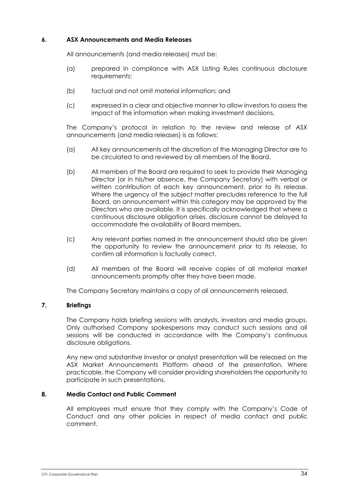### **6. ASX Announcements and Media Releases**

All announcements (and media releases) must be:

- (a) prepared in compliance with ASX Listing Rules continuous disclosure requirements;
- (b) factual and not omit material information; and
- (c) expressed in a clear and objective manner to allow investors to assess the impact of the information when making investment decisions.

The Company's protocol in relation to the review and release of ASX announcements (and media releases) is as follows:

- (a) All key announcements at the discretion of the Managing Director are to be circulated to and reviewed by all members of the Board.
- (b) All members of the Board are required to seek to provide their Managing Director (or in his/her absence, the Company Secretary) with verbal or written contribution of each key announcement, prior to its release. Where the urgency of the subject matter precludes reference to the full Board, an announcement within this category may be approved by the Directors who are available. It is specifically acknowledged that where a continuous disclosure obligation arises, disclosure cannot be delayed to accommodate the availability of Board members.
- (c) Any relevant parties named in the announcement should also be given the opportunity to review the announcement prior to its release, to confirm all information is factually correct.
- (d) All members of the Board will receive copies of all material market announcements promptly after they have been made.

The Company Secretary maintains a copy of all announcements released.

### **7. Briefings**

The Company holds briefing sessions with analysts, investors and media groups. Only authorised Company spokespersons may conduct such sessions and all sessions will be conducted in accordance with the Company's continuous disclosure obligations.

Any new and substantive investor or analyst presentation will be released on the ASX Market Announcements Platform ahead of the presentation. Where practicable, the Company will consider providing shareholders the opportunity to participate in such presentations.

### **8. Media Contact and Public Comment**

All employees must ensure that they comply with the Company's Code of Conduct and any other policies in respect of media contact and public comment.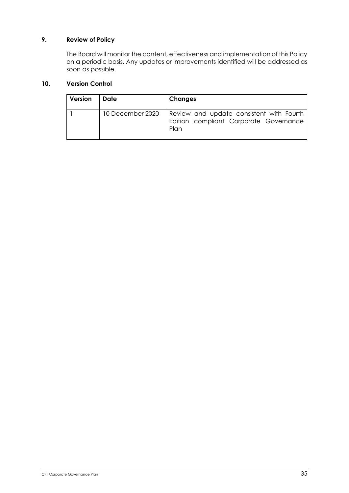# **9. Review of Policy**

The Board will monitor the content, effectiveness and implementation of this Policy on a periodic basis. Any updates or improvements identified will be addressed as soon as possible.

# **10. Version Control**

| Version | Date             | <b>Changes</b>                                                                             |
|---------|------------------|--------------------------------------------------------------------------------------------|
|         | 10 December 2020 | Review and update consistent with Fourth<br>Edition compliant Corporate Governance<br>Plan |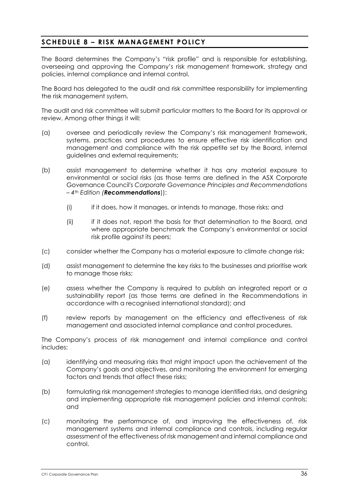# **SCHEDULE 8 – RISK MANAGEMENT POLICY**

The Board determines the Company's "risk profile" and is responsible for establishing, overseeing and approving the Company's risk management framework, strategy and policies, internal compliance and internal control.

The Board has delegated to the audit and risk committee responsibility for implementing the risk management system.

The audit and risk committee will submit particular matters to the Board for its approval or review. Among other things it will:

- (a) oversee and periodically review the Company's risk management framework, systems, practices and procedures to ensure effective risk identification and management and compliance with the risk appetite set by the Board, internal guidelines and external requirements;
- (b) assist management to determine whether it has any material exposure to environmental or social risks (as those terms are defined in the ASX Corporate Governance Council's *Corporate Governance Principles and Recommendations – 4th Edition (Recommendations*)):
	- (i) if it does, how it manages, or intends to manage, those risks; and
	- (ii) if it does not, report the basis for that determination to the Board, and where appropriate benchmark the Company's environmental or social risk profile against its peers;
- (c) consider whether the Company has a material exposure to climate change risk;
- (d) assist management to determine the key risks to the businesses and prioritise work to manage those risks;
- (e) assess whether the Company is required to publish an integrated report or a sustainability report (as those terms are defined in the Recommendations in accordance with a recognised international standard); and
- (f) review reports by management on the efficiency and effectiveness of risk management and associated internal compliance and control procedures.

The Company's process of risk management and internal compliance and control includes:

- (a) identifying and measuring risks that might impact upon the achievement of the Company's goals and objectives, and monitoring the environment for emerging factors and trends that affect these risks;
- (b) formulating risk management strategies to manage identified risks, and designing and implementing appropriate risk management policies and internal controls; and
- (c) monitoring the performance of, and improving the effectiveness of, risk management systems and internal compliance and controls, including regular assessment of the effectiveness of risk management and internal compliance and control.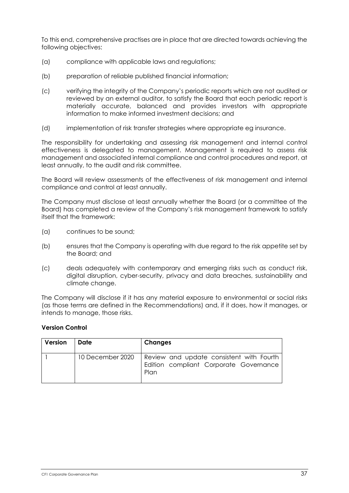To this end, comprehensive practises are in place that are directed towards achieving the following objectives:

- (a) compliance with applicable laws and regulations;
- (b) preparation of reliable published financial information;
- (c) verifying the integrity of the Company's periodic reports which are not audited or reviewed by an external auditor, to satisfy the Board that each periodic report is materially accurate, balanced and provides investors with appropriate information to make informed investment decisions; and
- (d) implementation of risk transfer strategies where appropriate eg insurance.

The responsibility for undertaking and assessing risk management and internal control effectiveness is delegated to management. Management is required to assess risk management and associated internal compliance and control procedures and report, at least annually, to the audit and risk committee.

The Board will review assessments of the effectiveness of risk management and internal compliance and control at least annually.

The Company must disclose at least annually whether the Board (or a committee of the Board) has completed a review of the Company's risk management framework to satisfy itself that the framework:

- (a) continues to be sound;
- (b) ensures that the Company is operating with due regard to the risk appetite set by the Board; and
- (c) deals adequately with contemporary and emerging risks such as conduct risk, digital disruption, cyber-security, privacy and data breaches, sustainability and climate change.

The Company will disclose if it has any material exposure to environmental or social risks (as those terms are defined in the Recommendations) and, if it does, how it manages, or intends to manage, those risks.

## **Version Control**

| Version | Date             | Changes                                                                                    |
|---------|------------------|--------------------------------------------------------------------------------------------|
|         | 10 December 2020 | Review and update consistent with Fourth<br>Edition compliant Corporate Governance<br>Plan |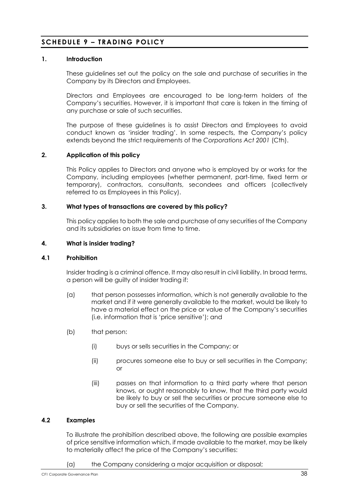# **SCHEDULE 9 – TRADING POLICY**

## **1. Introduction**

These guidelines set out the policy on the sale and purchase of securities in the Company by its Directors and Employees.

Directors and Employees are encouraged to be long-term holders of the Company's securities. However, it is important that care is taken in the timing of any purchase or sale of such securities.

The purpose of these guidelines is to assist Directors and Employees to avoid conduct known as 'insider trading'. In some respects, the Company's policy extends beyond the strict requirements of the *Corporations Act 2001* (Cth).

## **2. Application of this policy**

This Policy applies to Directors and anyone who is employed by or works for the Company, including employees (whether permanent, part-time, fixed term or temporary), contractors, consultants, secondees and officers (collectively referred to as Employees in this Policy).

#### **3. What types of transactions are covered by this policy?**

This policy applies to both the sale and purchase of any securities of the Company and its subsidiaries on issue from time to time.

#### **4. What is insider trading?**

#### **4.1 Prohibition**

Insider trading is a criminal offence. It may also result in civil liability. In broad terms, a person will be guilty of insider trading if:

- (a) that person possesses information, which is not generally available to the market and if it were generally available to the market, would be likely to have a material effect on the price or value of the Company's securities (i.e. information that is 'price sensitive'); and
- (b) that person:
	- (i) buys or sells securities in the Company; or
	- (ii) procures someone else to buy or sell securities in the Company; or
	- (iii) passes on that information to a third party where that person knows, or ought reasonably to know, that the third party would be likely to buy or sell the securities or procure someone else to buy or sell the securities of the Company.

## **4.2 Examples**

To illustrate the prohibition described above, the following are possible examples of price sensitive information which, if made available to the market, may be likely to materially affect the price of the Company's securities:

(a) the Company considering a major acquisition or disposal;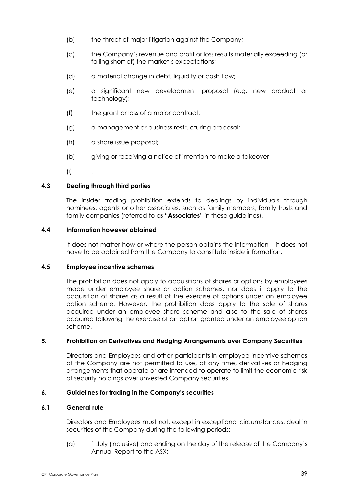- (b) the threat of major litigation against the Company;
- (c) the Company's revenue and profit or loss results materially exceeding (or falling short of) the market's expectations;
- (d) a material change in debt, liquidity or cash flow;
- (e) a significant new development proposal (e.g. new product or technology);
- (f) the grant or loss of a major contract;
- (g) a management or business restructuring proposal;
- (h) a share issue proposal;
- (b) giving or receiving a notice of intention to make a takeover
- $(i)$

## **4.3 Dealing through third parties**

The insider trading prohibition extends to dealings by individuals through nominees, agents or other associates, such as family members, family trusts and family companies (referred to as "**Associates**" in these guidelines).

## **4.4 Information however obtained**

It does not matter how or where the person obtains the information – it does not have to be obtained from the Company to constitute inside information.

## **4.5 Employee incentive schemes**

The prohibition does not apply to acquisitions of shares or options by employees made under employee share or option schemes, nor does it apply to the acquisition of shares as a result of the exercise of options under an employee option scheme. However, the prohibition does apply to the sale of shares acquired under an employee share scheme and also to the sale of shares acquired following the exercise of an option granted under an employee option scheme.

## **5. Prohibition on Derivatives and Hedging Arrangements over Company Securities**

Directors and Employees and other participants in employee incentive schemes of the Company are not permitted to use, at any time, derivatives or hedging arrangements that operate or are intended to operate to limit the economic risk of security holdings over unvested Company securities.

## **6. Guidelines for trading in the Company's securities**

## **6.1 General rule**

Directors and Employees must not, except in exceptional circumstances, deal in securities of the Company during the following periods:

(a) 1 July (inclusive) and ending on the day of the release of the Company's Annual Report to the ASX;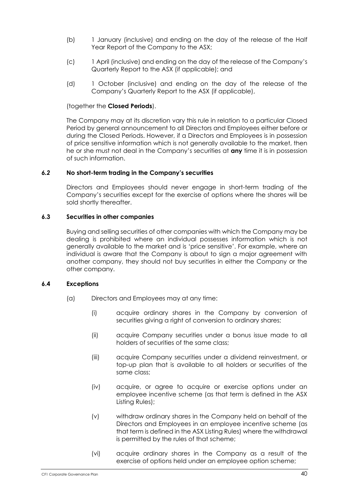- (b) 1 January (inclusive) and ending on the day of the release of the Half Year Report of the Company to the ASX;
- (c) 1 April (inclusive) and ending on the day of the release of the Company's Quarterly Report to the ASX (if applicable); and
- (d) 1 October (inclusive) and ending on the day of the release of the Company's Quarterly Report to the ASX (if applicable),

## (together the **Closed Periods**).

The Company may at its discretion vary this rule in relation to a particular Closed Period by general announcement to all Directors and Employees either before or during the Closed Periods. However, if a Directors and Employees is in possession of price sensitive information which is not generally available to the market, then he or she must not deal in the Company's securities at **any** time it is in possession of such information.

## *6.2* **No short-term trading in the Company's securities**

Directors and Employees should never engage in short-term trading of the Company's securities except for the exercise of options where the shares will be sold shortly thereafter.

#### **6.3 Securities in other companies**

Buying and selling securities of other companies with which the Company may be dealing is prohibited where an individual possesses information which is not generally available to the market and is 'price sensitive'. For example, where an individual is aware that the Company is about to sign a major agreement with another company, they should not buy securities in either the Company or the other company.

#### **6.4 Exceptions**

- (a) Directors and Employees may at any time:
	- (i) acquire ordinary shares in the Company by conversion of securities giving a right of conversion to ordinary shares;
	- (ii) acquire Company securities under a bonus issue made to all holders of securities of the same class;
	- (iii) acquire Company securities under a dividend reinvestment, or top-up plan that is available to all holders or securities of the same class;
	- (iv) acquire, or agree to acquire or exercise options under an employee incentive scheme (as that term is defined in the ASX Listing Rules);
	- (v) withdraw ordinary shares in the Company held on behalf of the Directors and Employees in an employee incentive scheme (as that term is defined in the ASX Listing Rules) where the withdrawal is permitted by the rules of that scheme;
	- (vi) acquire ordinary shares in the Company as a result of the exercise of options held under an employee option scheme;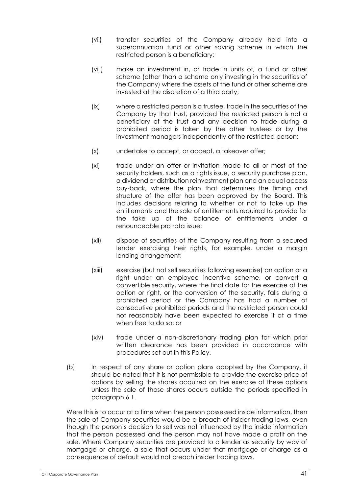- (vii) transfer securities of the Company already held into a superannuation fund or other saving scheme in which the restricted person is a beneficiary;
- (viii) make an investment in, or trade in units of, a fund or other scheme (other than a scheme only investing in the securities of the Company) where the assets of the fund or other scheme are invested at the discretion of a third party;
- (ix) where a restricted person is a trustee, trade in the securities of the Company by that trust, provided the restricted person is not a beneficiary of the trust and any decision to trade during a prohibited period is taken by the other trustees or by the investment managers independently of the restricted person;
- (x) undertake to accept, or accept, a takeover offer;
- (xi) trade under an offer or invitation made to all or most of the security holders, such as a rights issue, a security purchase plan, a dividend or distribution reinvestment plan and an equal access buy-back, where the plan that determines the timing and structure of the offer has been approved by the Board. This includes decisions relating to whether or not to take up the entitlements and the sale of entitlements required to provide for the take up of the balance of entitlements under a renounceable pro rata issue;
- (xii) dispose of securities of the Company resulting from a secured lender exercising their rights, for example, under a margin lending arrangement;
- (xiii) exercise (but not sell securities following exercise) an option or a right under an employee incentive scheme, or convert a convertible security, where the final date for the exercise of the option or right, or the conversion of the security, falls during a prohibited period or the Company has had a number of consecutive prohibited periods and the restricted person could not reasonably have been expected to exercise it at a time when free to do so; or
- (xiv) trade under a non-discretionary trading plan for which prior written clearance has been provided in accordance with procedures set out in this Policy.
- (b) In respect of any share or option plans adopted by the Company, it should be noted that it is not permissible to provide the exercise price of options by selling the shares acquired on the exercise of these options unless the sale of those shares occurs outside the periods specified in paragraph 6.1.

Were this is to occur at a time when the person possessed inside information, then the sale of Company securities would be a breach of insider trading laws, even though the person's decision to sell was not influenced by the inside information that the person possessed and the person may not have made a profit on the sale. Where Company securities are provided to a lender as security by way of mortgage or charge, a sale that occurs under that mortgage or charge as a consequence of default would not breach insider trading laws.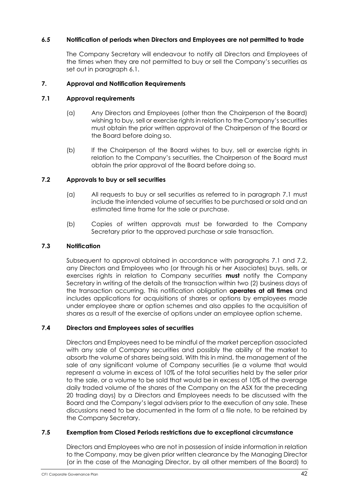# *6.5* **Notification of periods when Directors and Employees are not permitted to trade**

The Company Secretary will endeavour to notify all Directors and Employees of the times when they are not permitted to buy or sell the Company's securities as set out in paragraph 6.1.

## **7. Approval and Notification Requirements**

## **7.1 Approval requirements**

- (a) Any Directors and Employees (other than the Chairperson of the Board) wishing to buy, sell or exercise rights in relation to the Company's securities must obtain the prior written approval of the Chairperson of the Board or the Board before doing so.
- (b) If the Chairperson of the Board wishes to buy, sell or exercise rights in relation to the Company's securities, the Chairperson of the Board must obtain the prior approval of the Board before doing so.

# **7.2 Approvals to buy or sell securities**

- (a) All requests to buy or sell securities as referred to in paragraph 7.1 must include the intended volume of securities to be purchased or sold and an estimated time frame for the sale or purchase.
- (b) Copies of written approvals must be forwarded to the Company Secretary prior to the approved purchase or sale transaction.

## **7.3 Notification**

Subsequent to approval obtained in accordance with paragraphs 7.1 and 7.2, any Directors and Employees who (or through his or her Associates) buys, sells, or exercises rights in relation to Company securities **must** notify the Company Secretary in writing of the details of the transaction within two (2) business days of the transaction occurring. This notification obligation **operates at all times** and includes applications for acquisitions of shares or options by employees made under employee share or option schemes and also applies to the acquisition of shares as a result of the exercise of options under an employee option scheme.

# **7.4 Directors and Employees sales of securities**

Directors and Employees need to be mindful of the market perception associated with any sale of Company securities and possibly the ability of the market to absorb the volume of shares being sold. With this in mind, the management of the sale of any significant volume of Company securities (ie a volume that would represent a volume in excess of 10% of the total securities held by the seller prior to the sale, or a volume to be sold that would be in excess of 10% of the average daily traded volume of the shares of the Company on the ASX for the preceding 20 trading days) by a Directors and Employees needs to be discussed with the Board and the Company's legal advisers prior to the execution of any sale. These discussions need to be documented in the form of a file note, to be retained by the Company Secretary.

## **7.5 Exemption from Closed Periods restrictions due to exceptional circumstance**

Directors and Employees who are not in possession of inside information in relation to the Company, may be given prior written clearance by the Managing Director (or in the case of the Managing Director, by all other members of the Board) to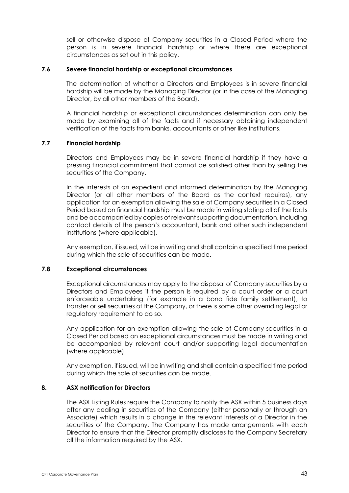sell or otherwise dispose of Company securities in a Closed Period where the person is in severe financial hardship or where there are exceptional circumstances as set out in this policy.

#### **7.6 Severe financial hardship or exceptional circumstances**

The determination of whether a Directors and Employees is in severe financial hardship will be made by the Managing Director (or in the case of the Managing Director, by all other members of the Board).

A financial hardship or exceptional circumstances determination can only be made by examining all of the facts and if necessary obtaining independent verification of the facts from banks, accountants or other like institutions.

## **7.7 Financial hardship**

Directors and Employees may be in severe financial hardship if they have a pressing financial commitment that cannot be satisfied other than by selling the securities of the Company.

In the interests of an expedient and informed determination by the Managing Director (or all other members of the Board as the context requires), any application for an exemption allowing the sale of Company securities in a Closed Period based on financial hardship must be made in writing stating all of the facts and be accompanied by copies of relevant supporting documentation, including contact details of the person's accountant, bank and other such independent institutions (where applicable).

Any exemption, if issued, will be in writing and shall contain a specified time period during which the sale of securities can be made.

## **7.8 Exceptional circumstances**

Exceptional circumstances may apply to the disposal of Company securities by a Directors and Employees if the person is required by a court order or a court enforceable undertaking (for example in a bona fide family settlement), to transfer or sell securities of the Company, or there is some other overriding legal or regulatory requirement to do so.

Any application for an exemption allowing the sale of Company securities in a Closed Period based on exceptional circumstances must be made in writing and be accompanied by relevant court and/or supporting legal documentation (where applicable).

Any exemption, if issued, will be in writing and shall contain a specified time period during which the sale of securities can be made.

## **8. ASX notification for Directors**

The ASX Listing Rules require the Company to notify the ASX within 5 business days after any dealing in securities of the Company (either personally or through an Associate) which results in a change in the relevant interests of a Director in the securities of the Company. The Company has made arrangements with each Director to ensure that the Director promptly discloses to the Company Secretary all the information required by the ASX.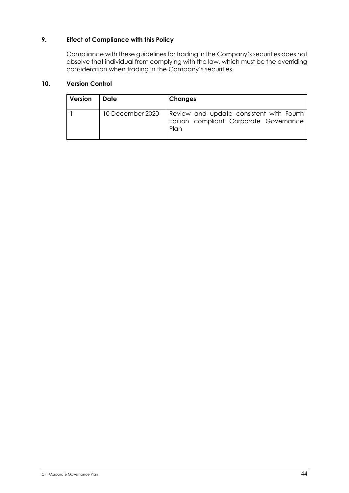# **9. Effect of Compliance with this Policy**

Compliance with these guidelines for trading in the Company's securities does not absolve that individual from complying with the law, which must be the overriding consideration when trading in the Company's securities.

# **10. Version Control**

| Version | Date             | <b>Changes</b>                                                                             |
|---------|------------------|--------------------------------------------------------------------------------------------|
|         | 10 December 2020 | Review and update consistent with Fourth<br>Edition compliant Corporate Governance<br>Plan |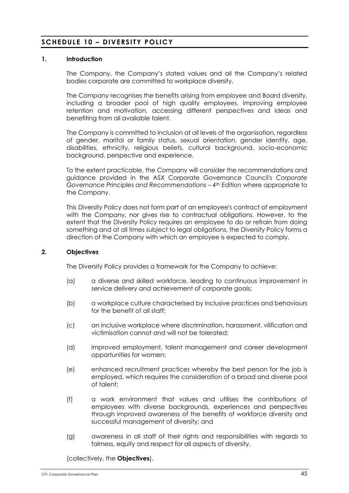# **SCHEDULE 10 – DIVERSITY POLICY**

## **1. Introduction**

The Company, the Company's stated values and all the Company's related bodies corporate are committed to workplace diversity.

The Company recognises the benefits arising from employee and Board diversity, including a broader pool of high quality employees, improving employee retention and motivation, accessing different perspectives and ideas and benefiting from all available talent.

The Company is committed to inclusion at all levels of the organisation, regardless of gender, marital or family status, sexual orientation, gender identity, age, disabilities, ethnicity, religious beliefs, cultural background, socio-economic background, perspective and experience.

To the extent practicable, the Company will consider the recommendations and guidance provided in the ASX Corporate Governance Council's *Corporate Governance Principles and Recommendations – 4th Edition* where appropriate to the Company.

This Diversity Policy does not form part of an employee's contract of employment with the Company, nor gives rise to contractual obligations. However, to the extent that the Diversity Policy requires an employee to do or refrain from doing something and at all times subject to legal obligations, the Diversity Policy forms a direction of the Company with which an employee is expected to comply.

## **2. Objectives**

The Diversity Policy provides a framework for the Company to achieve:

- (a) a diverse and skilled workforce, leading to continuous improvement in service delivery and achievement of corporate goals;
- (b) a workplace culture characterised by inclusive practices and behaviours for the benefit of all staff;
- (c) an inclusive workplace where discrimination, harassment, vilification and victimisation cannot and will not be tolerated;
- (d) improved employment, talent management and career development opportunities for women;
- (e) enhanced recruitment practices whereby the best person for the job is employed, which requires the consideration of a broad and diverse pool of talent;
- (f) a work environment that values and utilises the contributions of employees with diverse backgrounds, experiences and perspectives through improved awareness of the benefits of workforce diversity and successful management of diversity; and
- (g) awareness in all staff of their rights and responsibilities with regards to fairness, equity and respect for all aspects of diversity,

(collectively, the **Objectives**).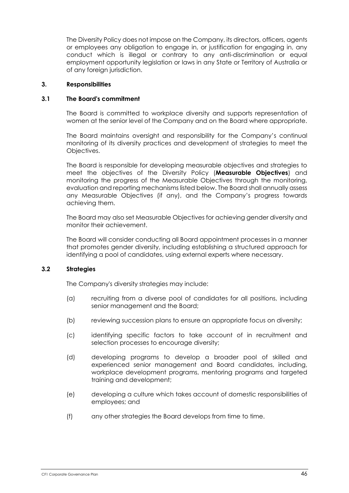The Diversity Policy does not impose on the Company, its directors, officers, agents or employees any obligation to engage in, or justification for engaging in, any conduct which is illegal or contrary to any anti-discrimination or equal employment opportunity legislation or laws in any State or Territory of Australia or of any foreign jurisdiction.

#### **3. Responsibilities**

#### **3.1 The Board's commitment**

The Board is committed to workplace diversity and supports representation of women at the senior level of the Company and on the Board where appropriate.

The Board maintains oversight and responsibility for the Company's continual monitoring of its diversity practices and development of strategies to meet the Objectives.

The Board is responsible for developing measurable objectives and strategies to meet the objectives of the Diversity Policy (**Measurable Objectives**) and monitoring the progress of the Measurable Objectives through the monitoring, evaluation and reporting mechanisms listed below. The Board shall annually assess any Measurable Objectives (if any), and the Company's progress towards achieving them.

The Board may also set Measurable Objectives for achieving gender diversity and monitor their achievement.

The Board will consider conducting all Board appointment processes in a manner that promotes gender diversity, including establishing a structured approach for identifying a pool of candidates, using external experts where necessary.

# **3.2 Strategies**

The Company's diversity strategies may include:

- (a) recruiting from a diverse pool of candidates for all positions, including senior management and the Board;
- (b) reviewing succession plans to ensure an appropriate focus on diversity;
- (c) identifying specific factors to take account of in recruitment and selection processes to encourage diversity;
- (d) developing programs to develop a broader pool of skilled and experienced senior management and Board candidates, including, workplace development programs, mentoring programs and targeted training and development;
- (e) developing a culture which takes account of domestic responsibilities of employees; and
- (f) any other strategies the Board develops from time to time.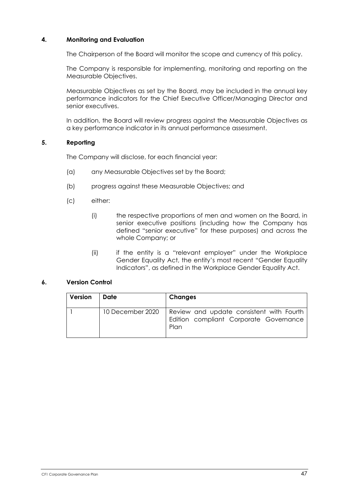# **4. Monitoring and Evaluation**

The Chairperson of the Board will monitor the scope and currency of this policy.

The Company is responsible for implementing, monitoring and reporting on the Measurable Objectives.

Measurable Objectives as set by the Board, may be included in the annual key performance indicators for the Chief Executive Officer/Managing Director and senior executives.

In addition, the Board will review progress against the Measurable Objectives as a key performance indicator in its annual performance assessment.

#### **5. Reporting**

The Company will disclose, for each financial year:

- (a) any Measurable Objectives set by the Board;
- (b) progress against these Measurable Objectives; and
- (c) either:
	- (i) the respective proportions of men and women on the Board, in senior executive positions (including how the Company has defined "senior executive" for these purposes) and across the whole Company; or
	- (ii) if the entity is a "relevant employer" under the Workplace Gender Equality Act, the entity's most recent "Gender Equality Indicators", as defined in the Workplace Gender Equality Act.

## **6. Version Control**

| Version | Date             | <b>Changes</b>                                                                             |
|---------|------------------|--------------------------------------------------------------------------------------------|
|         | 10 December 2020 | Review and update consistent with Fourth<br>Edition compliant Corporate Governance<br>Plan |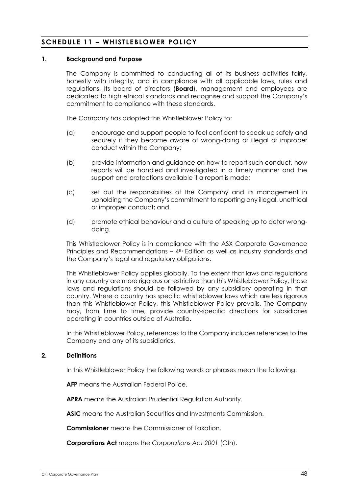# **SCHEDULE 11 – WHISTLEBLOWER POLICY**

## **1. Background and Purpose**

The Company is committed to conducting all of its business activities fairly, honestly with integrity, and in compliance with all applicable laws, rules and regulations. Its board of directors (**Board**), management and employees are dedicated to high ethical standards and recognise and support the Company's commitment to compliance with these standards.

The Company has adopted this Whistleblower Policy to:

- (a) encourage and support people to feel confident to speak up safely and securely if they become aware of wrong-doing or illegal or improper conduct within the Company;
- (b) provide information and guidance on how to report such conduct, how reports will be handled and investigated in a timely manner and the support and protections available if a report is made;
- (c) set out the responsibilities of the Company and its management in upholding the Company's commitment to reporting any illegal, unethical or improper conduct; and
- (d) promote ethical behaviour and a culture of speaking up to deter wrongdoing.

This Whistleblower Policy is in compliance with the ASX Corporate Governance Principles and Recommendations – 4th Edition as well as industry standards and the Company's legal and regulatory obligations.

This Whistleblower Policy applies globally. To the extent that laws and regulations in any country are more rigorous or restrictive than this Whistleblower Policy, those laws and regulations should be followed by any subsidiary operating in that country. Where a country has specific whistleblower laws which are less rigorous than this Whistleblower Policy, this Whistleblower Policy prevails. The Company may, from time to time, provide country-specific directions for subsidiaries operating in countries outside of Australia.

In this Whistleblower Policy, references to the Company includes references to the Company and any of its subsidiaries.

#### **2. Definitions**

In this Whistleblower Policy the following words or phrases mean the following:

**AFP** means the Australian Federal Police.

**APRA** means the Australian Prudential Regulation Authority.

**ASIC** means the Australian Securities and Investments Commission.

**Commissioner** means the Commissioner of Taxation.

**Corporations Act** means the *Corporations Act 2001* (Cth).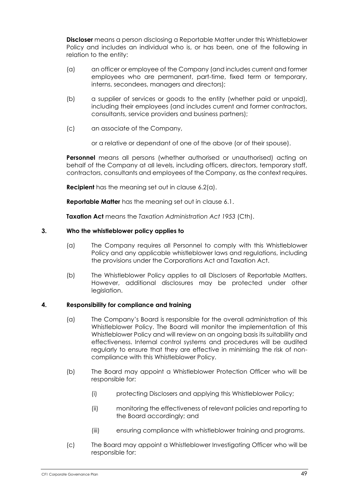**Discloser** means a person disclosing a Reportable Matter under this Whistleblower Policy and includes an individual who is, or has been, one of the following in relation to the entity:

- (a) an officer or employee of the Company (and includes current and former employees who are permanent, part-time, fixed term or temporary, interns, secondees, managers and directors);
- (b) a supplier of services or goods to the entity (whether paid or unpaid), including their employees (and includes current and former contractors, consultants, service providers and business partners);
- (c) an associate of the Company,

or a relative or dependant of one of the above (or of their spouse).

**Personnel** means all persons (whether authorised or unauthorised) acting on behalf of the Company at all levels, including officers, directors, temporary staff, contractors, consultants and employees of the Company, as the context requires.

**Recipient** has the meaning set out in clause 6.2(a).

**Reportable Matter** has the meaning set out in clause 6.1.

**Taxation Act** means the *Taxation Administration Act 1953* (Cth).

## **3. Who the whistleblower policy applies to**

- (a) The Company requires all Personnel to comply with this Whistleblower Policy and any applicable whistleblower laws and regulations, including the provisions under the Corporations Act and Taxation Act.
- (b) The Whistleblower Policy applies to all Disclosers of Reportable Matters. However, additional disclosures may be protected under other legislation.

# **4. Responsibility for compliance and training**

- (a) The Company's Board is responsible for the overall administration of this Whistleblower Policy. The Board will monitor the implementation of this Whistleblower Policy and will review on an ongoing basis its suitability and effectiveness. Internal control systems and procedures will be audited regularly to ensure that they are effective in minimising the risk of noncompliance with this Whistleblower Policy.
- (b) The Board may appoint a Whistleblower Protection Officer who will be responsible for:
	- (i) protecting Disclosers and applying this Whistleblower Policy;
	- (ii) monitoring the effectiveness of relevant policies and reporting to the Board accordingly; and
	- (iii) ensuring compliance with whistleblower training and programs.
- (c) The Board may appoint a Whistleblower Investigating Officer who will be responsible for: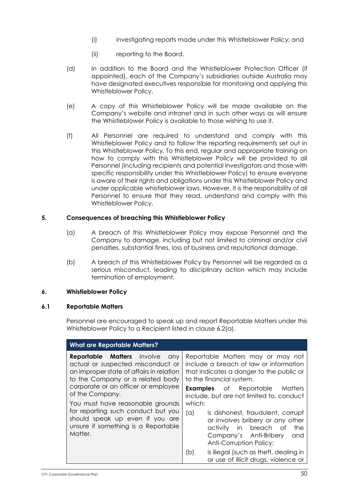- (i) investigating reports made under this Whistleblower Policy; and
- (ii) reporting to the Board.
- (d) In addition to the Board and the Whistleblower Protection Officer (if appointed), each of the Company's subsidiaries outside Australia may have designated executives responsible for monitoring and applying this Whistleblower Policy.
- (e) A copy of this Whistleblower Policy will be made available on the Company's website and intranet and in such other ways as will ensure the Whistleblower Policy is available to those wishing to use it.
- (f) All Personnel are required to understand and comply with this Whistleblower Policy and to follow the reporting requirements set out in this Whistleblower Policy. To this end, regular and appropriate training on how to comply with this Whistleblower Policy will be provided to all Personnel (including recipients and potential investigators and those with specific responsibility under this Whistleblower Policy) to ensure everyone is aware of their rights and obligations under this Whistleblower Policy and under applicable whistleblower laws. However, it is the responsibility of all Personnel to ensure that they read, understand and comply with this Whistleblower Policy.

## **5. Consequences of breaching this Whistleblower Policy**

- (a) A breach of this Whistleblower Policy may expose Personnel and the Company to damage, including but not limited to criminal and/or civil penalties, substantial fines, loss of business and reputational damage.
- (b) A breach of this Whistleblower Policy by Personnel will be regarded as a serious misconduct, leading to disciplinary action which may include termination of employment.

## **6. Whistleblower Policy**

#### **6.1 Reportable Matters**

Personnel are encouraged to speak up and report Reportable Matters under this Whistleblower Policy to a Recipient listed in clause 6.2(a).

| <b>What are Reportable Matters?</b>                                                                                                                                                                                                                                                                                                                                                    |                                                                                                                                                                                                            |  |
|----------------------------------------------------------------------------------------------------------------------------------------------------------------------------------------------------------------------------------------------------------------------------------------------------------------------------------------------------------------------------------------|------------------------------------------------------------------------------------------------------------------------------------------------------------------------------------------------------------|--|
| <b>Reportable Matters</b> involve<br>any<br>actual or suspected misconduct or<br>an improper state of affairs in relation<br>to the Company or a related body<br>corporate or an officer or employee<br>of the Company.<br>You must have reasonable grounds<br>for reporting such conduct but you<br>should speak up even if you are<br>unsure if something is a Reportable<br>Matter. | Reportable Matters may or may not<br>include a breach of law or information<br>that indicates a danger to the public or<br>to the financial system.                                                        |  |
|                                                                                                                                                                                                                                                                                                                                                                                        | Matters<br><b>Examples</b> of Reportable<br>include, but are not limited to, conduct<br>which:<br>is dishonest, fraudulent, corrupt<br>(a)<br>or involves bribery or any other<br>in breach<br>the<br>- of |  |
|                                                                                                                                                                                                                                                                                                                                                                                        | activity<br>Company's Anti-Bribery<br>and<br>Anti-Corruption Policy;<br>is illegal (such as theft, dealing in<br>(b)                                                                                       |  |
|                                                                                                                                                                                                                                                                                                                                                                                        | or use of illicit drugs, violence or                                                                                                                                                                       |  |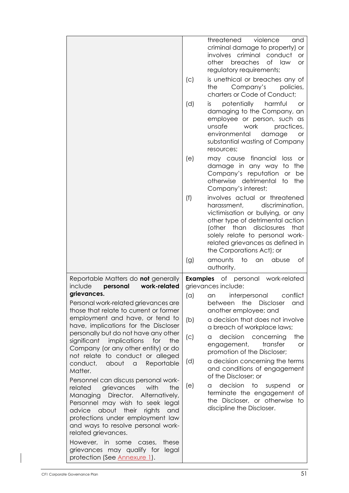|                                                                                                                                                                                |     | threatened<br>violence<br>and                                                                                                                                                                                                                                                   |
|--------------------------------------------------------------------------------------------------------------------------------------------------------------------------------|-----|---------------------------------------------------------------------------------------------------------------------------------------------------------------------------------------------------------------------------------------------------------------------------------|
|                                                                                                                                                                                |     | criminal damage to property) or<br>involves criminal conduct<br><b>or</b><br>breaches<br>other<br>of law<br><b>or</b><br>regulatory requirements;                                                                                                                               |
|                                                                                                                                                                                | (C) | is unethical or breaches any of<br>Company's<br>policies,<br>the<br>charters or Code of Conduct;                                                                                                                                                                                |
|                                                                                                                                                                                | (d) | potentially harmful<br>or<br>İS.<br>damaging to the Company, an<br>employee or person, such as<br>unsafe<br>work<br>practices,<br>environmental<br>damage<br><b>or</b><br>substantial wasting of Company<br>resources;                                                          |
|                                                                                                                                                                                | (e) | may cause financial<br>loss or<br>damage in any way to the<br>Company's reputation or<br>be<br>otherwise detrimental to the<br>Company's interest;                                                                                                                              |
|                                                                                                                                                                                | (f) | involves actual or threatened<br>discrimination,<br>harassment,<br>victimisation or bullying, or any<br>other type of detrimental action<br>(other than disclosures<br>that<br>solely relate to personal work-<br>related grievances as defined in<br>the Corporations Act); or |
|                                                                                                                                                                                | (g) | to<br>amounts<br>abuse<br>an<br>Оf<br>authority.                                                                                                                                                                                                                                |
| Reportable Matters do <b>not</b> generally<br>include<br>work-related<br>personal                                                                                              |     | <b>Examples</b> of personal work-related<br>grievances include:                                                                                                                                                                                                                 |
| grievances.<br>Personal work-related grievances are<br>those that relate to current or former<br>employment and have, or tend to                                               |     | (a) an interpersonal conflict<br>the<br><b>Discloser</b><br>between<br>and<br>another employee; and                                                                                                                                                                             |
| have, implications for the Discloser<br>personally but do not have any other                                                                                                   | (b) | a decision that does not involve<br>a breach of workplace laws;                                                                                                                                                                                                                 |
| significant<br>implications<br>for<br>the<br>Company (or any other entity) or do<br>not relate to conduct or alleged                                                           | (c) | decision<br>the<br>concerning<br>a<br>transfer<br>engagement,<br><b>or</b><br>promotion of the Discloser;                                                                                                                                                                       |
| about<br>Reportable<br>conduct,<br>$\hbox{\tt\small C}$<br>Matter.                                                                                                             | (d) | a decision concerning the terms<br>and conditions of engagement<br>of the Discloser; or                                                                                                                                                                                         |
| Personnel can discuss personal work-<br>grievances<br>with<br>the<br>related<br>Director.<br>Managing<br>Alternatively,<br>Personnel may wish to seek legal                    | (e) | decision<br>to<br>suspend<br>a<br>or<br>terminate the engagement<br>Оf<br>the Discloser, or otherwise<br>to                                                                                                                                                                     |
| advice<br>about<br>their<br>rights<br>and<br>protections under employment law<br>and ways to resolve personal work-<br>related grievances.<br>However, in some cases,<br>these |     | discipline the Discloser.                                                                                                                                                                                                                                                       |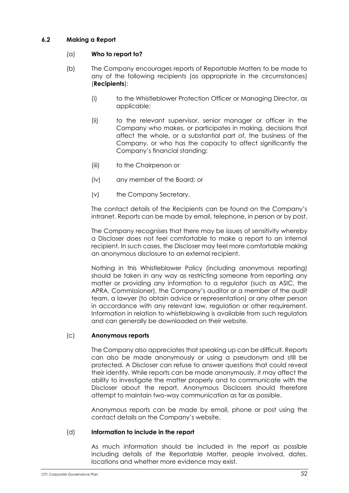# **6.2 Making a Report**

# (a) **Who to report to?**

- (b) The Company encourages reports of Reportable Matters to be made to any of the following recipients (as appropriate in the circumstances) (**Recipients**):
	- (i) to the Whistleblower Protection Officer or Managing Director, as applicable;
	- (ii) to the relevant supervisor, senior manager or officer in the Company who makes, or participates in making, decisions that affect the whole, or a substantial part of, the business of the Company, or who has the capacity to affect significantly the Company's financial standing;
	- (iii) to the Chairperson or
	- (iv) any member of the Board; or
	- (v) the Company Secretary.

The contact details of the Recipients can be found on the Company's intranet. Reports can be made by email, telephone, in person or by post.

The Company recognises that there may be issues of sensitivity whereby a Discloser does not feel comfortable to make a report to an internal recipient. In such cases, the Discloser may feel more comfortable making an anonymous disclosure to an external recipient.

Nothing in this Whistleblower Policy (including anonymous reporting) should be taken in any way as restricting someone from reporting any matter or providing any information to a regulator (such as ASIC, the APRA, Commissioner), the Company's auditor or a member of the audit team, a lawyer (to obtain advice or representation) or any other person in accordance with any relevant law, regulation or other requirement. Information in relation to whistleblowing is available from such regulators and can generally be downloaded on their website.

## (c) **Anonymous reports**

The Company also appreciates that speaking up can be difficult. Reports can also be made anonymously or using a pseudonym and still be protected. A Discloser can refuse to answer questions that could reveal their identity. While reports can be made anonymously, it may affect the ability to investigate the matter properly and to communicate with the Discloser about the report. Anonymous Disclosers should therefore attempt to maintain two-way communication as far as possible.

Anonymous reports can be made by email, phone or post using the contact details on the Company's website.

## (d) **Information to include in the report**

As much information should be included in the report as possible including details of the Reportable Matter, people involved, dates, locations and whether more evidence may exist.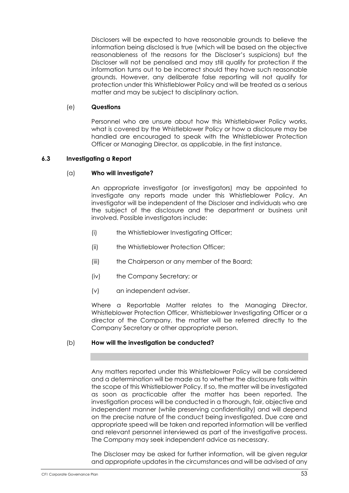Disclosers will be expected to have reasonable grounds to believe the information being disclosed is true (which will be based on the objective reasonableness of the reasons for the Discloser's suspicions) but the Discloser will not be penalised and may still qualify for protection if the information turns out to be incorrect should they have such reasonable grounds. However, any deliberate false reporting will not qualify for protection under this Whistleblower Policy and will be treated as a serious matter and may be subject to disciplinary action.

#### (e) **Questions**

Personnel who are unsure about how this Whistleblower Policy works, what is covered by the Whistleblower Policy or how a disclosure may be handled are encouraged to speak with the Whistleblower Protection Officer or Managing Director, as applicable, in the first instance.

## **6.3 Investigating a Report**

#### (a) **Who will investigate?**

An appropriate investigator (or investigators) may be appointed to investigate any reports made under this Whistleblower Policy. An investigator will be independent of the Discloser and individuals who are the subject of the disclosure and the department or business unit involved. Possible investigators include:

- (i) the Whistleblower Investigating Officer;
- (ii) the Whistleblower Protection Officer;
- (iii) the Chairperson or any member of the Board;
- (iv) the Company Secretary; or
- (v) an independent adviser.

Where a Reportable Matter relates to the Managing Director, Whistleblower Protection Officer, Whistleblower Investigating Officer or a director of the Company, the matter will be referred directly to the Company Secretary or other appropriate person.

#### (b) **How will the investigation be conducted?**

Any matters reported under this Whistleblower Policy will be considered and a determination will be made as to whether the disclosure falls within the scope of this Whistleblower Policy. If so, the matter will be investigated as soon as practicable after the matter has been reported. The investigation process will be conducted in a thorough, fair, objective and independent manner (while preserving confidentiality) and will depend on the precise nature of the conduct being investigated. Due care and appropriate speed will be taken and reported information will be verified and relevant personnel interviewed as part of the investigative process. The Company may seek independent advice as necessary.

The Discloser may be asked for further information, will be given regular and appropriate updates in the circumstances and will be advised of any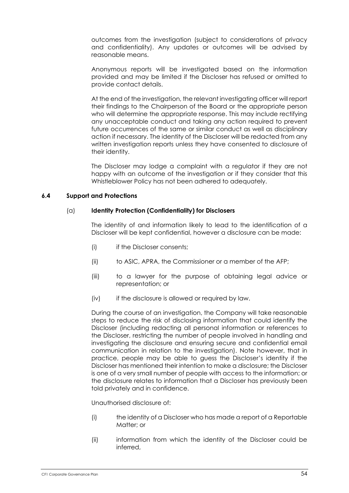outcomes from the investigation (subject to considerations of privacy and confidentiality). Any updates or outcomes will be advised by reasonable means.

Anonymous reports will be investigated based on the information provided and may be limited if the Discloser has refused or omitted to provide contact details.

At the end of the investigation, the relevant investigating officer will report their findings to the Chairperson of the Board or the appropriate person who will determine the appropriate response. This may include rectifying any unacceptable conduct and taking any action required to prevent future occurrences of the same or similar conduct as well as disciplinary action if necessary. The identity of the Discloser will be redacted from any written investigation reports unless they have consented to disclosure of their identity.

The Discloser may lodge a complaint with a regulator if they are not happy with an outcome of the investigation or if they consider that this Whistleblower Policy has not been adhered to adequately.

#### **6.4 Support and Protections**

#### (a) **Identity Protection (Confidentiality) for Disclosers**

The identity of and information likely to lead to the identification of a Discloser will be kept confidential, however a disclosure can be made:

- (i) if the Discloser consents;
- (ii) to ASIC, APRA, the Commissioner or a member of the AFP;
- (iii) to a lawyer for the purpose of obtaining legal advice or representation; or
- (iv) if the disclosure is allowed or required by law.

During the course of an investigation, the Company will take reasonable steps to reduce the risk of disclosing information that could identify the Discloser (including redacting all personal information or references to the Discloser, restricting the number of people involved in handling and investigating the disclosure and ensuring secure and confidential email communication in relation to the investigation). Note however, that in practice, people may be able to guess the Discloser's identity if the Discloser has mentioned their intention to make a disclosure; the Discloser is one of a very small number of people with access to the information; or the disclosure relates to information that a Discloser has previously been told privately and in confidence.

Unauthorised disclosure of:

- (i) the identity of a Discloser who has made a report of a Reportable Matter; or
- (ii) information from which the identity of the Discloser could be inferred,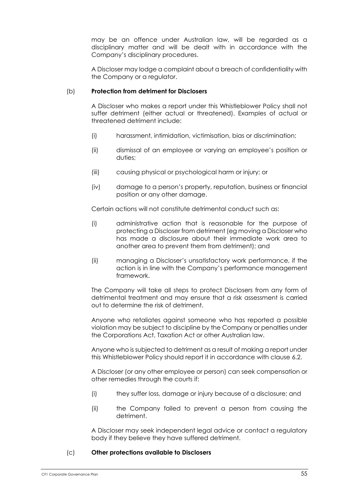may be an offence under Australian law, will be regarded as a disciplinary matter and will be dealt with in accordance with the Company's disciplinary procedures.

A Discloser may lodge a complaint about a breach of confidentiality with the Company or a regulator.

## (b) **Protection from detriment for Disclosers**

A Discloser who makes a report under this Whistleblower Policy shall not suffer detriment (either actual or threatened). Examples of actual or threatened detriment include:

- (i) harassment, intimidation, victimisation, bias or discrimination;
- (ii) dismissal of an employee or varying an employee's position or duties;
- (iii) causing physical or psychological harm or injury; or
- (iv) damage to a person's property, reputation, business or financial position or any other damage.

Certain actions will not constitute detrimental conduct such as:

- (i) administrative action that is reasonable for the purpose of protecting a Discloser from detriment (eg moving a Discloser who has made a disclosure about their immediate work area to another area to prevent them from detriment); and
- (ii) managing a Discloser's unsatisfactory work performance, if the action is in line with the Company's performance management framework.

The Company will take all steps to protect Disclosers from any form of detrimental treatment and may ensure that a risk assessment is carried out to determine the risk of detriment.

Anyone who retaliates against someone who has reported a possible violation may be subject to discipline by the Company or penalties under the Corporations Act, Taxation Act or other Australian law.

Anyone who is subjected to detriment as a result of making a report under this Whistleblower Policy should report it in accordance with clause 6.2.

A Discloser (or any other employee or person) can seek compensation or other remedies through the courts if:

- (i) they suffer loss, damage or injury because of a disclosure; and
- (ii) the Company failed to prevent a person from causing the detriment.

A Discloser may seek independent legal advice or contact a regulatory body if they believe they have suffered detriment.

## (c) **Other protections available to Disclosers**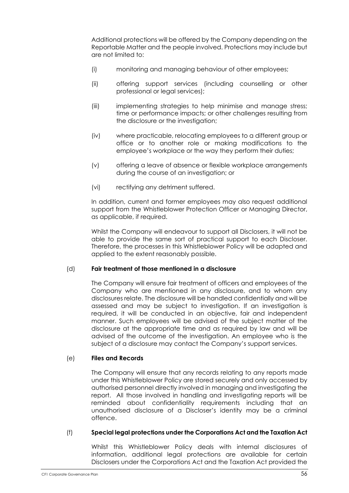Additional protections will be offered by the Company depending on the Reportable Matter and the people involved. Protections may include but are not limited to:

- (i) monitoring and managing behaviour of other employees;
- (ii) offering support services (including counselling or other professional or legal services);
- (iii) implementing strategies to help minimise and manage stress; time or performance impacts; or other challenges resulting from the disclosure or the investigation;
- (iv) where practicable, relocating employees to a different group or office or to another role or making modifications to the employee's workplace or the way they perform their duties;
- (v) offering a leave of absence or flexible workplace arrangements during the course of an investigation; or
- (vi) rectifying any detriment suffered.

In addition, current and former employees may also request additional support from the Whistleblower Protection Officer or Managing Director, as applicable, if required.

Whilst the Company will endeavour to support all Disclosers, it will not be able to provide the same sort of practical support to each Discloser. Therefore, the processes in this Whistleblower Policy will be adapted and applied to the extent reasonably possible.

## (d) **Fair treatment of those mentioned in a disclosure**

The Company will ensure fair treatment of officers and employees of the Company who are mentioned in any disclosure, and to whom any disclosures relate. The disclosure will be handled confidentially and will be assessed and may be subject to investigation. If an investigation is required, it will be conducted in an objective, fair and independent manner. Such employees will be advised of the subject matter of the disclosure at the appropriate time and as required by law and will be advised of the outcome of the investigation. An employee who is the subject of a disclosure may contact the Company's support services.

## (e) **Files and Records**

The Company will ensure that any records relating to any reports made under this Whistleblower Policy are stored securely and only accessed by authorised personnel directly involved in managing and investigating the report. All those involved in handling and investigating reports will be reminded about confidentiality requirements including that an unauthorised disclosure of a Discloser's identity may be a criminal offence.

## (f) **Special legal protections under the Corporations Act and the Taxation Act**

Whilst this Whistleblower Policy deals with internal disclosures of information, additional legal protections are available for certain Disclosers under the Corporations Act and the Taxation Act provided the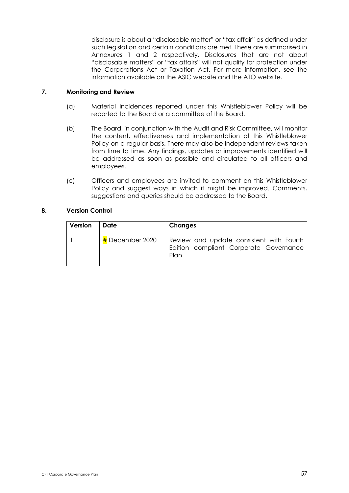disclosure is about a "disclosable matter" or "tax affair" as defined under such legislation and certain conditions are met. These are summarised in Annexures 1 and 2 respectively. Disclosures that are not about "disclosable matters" or "tax affairs" will not qualify for protection under the Corporations Act or Taxation Act. For more information, see the information available on the ASIC website and the ATO website.

# **7. Monitoring and Review**

- (a) Material incidences reported under this Whistleblower Policy will be reported to the Board or a committee of the Board.
- (b) The Board, in conjunction with the Audit and Risk Committee, will monitor the content, effectiveness and implementation of this Whistleblower Policy on a regular basis. There may also be independent reviews taken from time to time. Any findings, updates or improvements identified will be addressed as soon as possible and circulated to all officers and employees.
- (c) Officers and employees are invited to comment on this Whistleblower Policy and suggest ways in which it might be improved. Comments, suggestions and queries should be addressed to the Board.

## **8. Version Control**

| Version | Date                        | <b>Changes</b>                                                                             |
|---------|-----------------------------|--------------------------------------------------------------------------------------------|
|         | $\frac{H}{H}$ December 2020 | Review and update consistent with Fourth<br>Edition compliant Corporate Governance<br>Plan |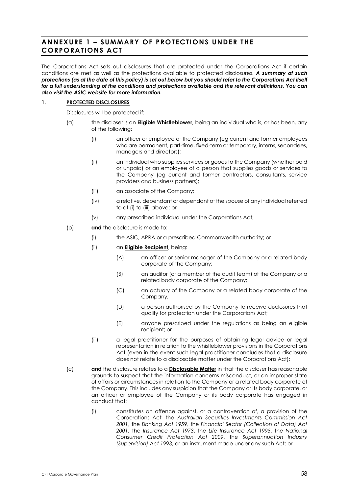# **ANNEXURE 1 – SUMMARY OF PROTECTIONS UNDER THE CORPORATIONS ACT**

The Corporations Act sets out disclosures that are protected under the Corporations Act if certain conditions are met as well as the protections available to protected disclosures. *A summary of such protections (as at the date of this policy) is set out below but you should refer to the Corporations Act itself for a full understanding of the conditions and protections available and the relevant definitions. You can also visit the ASIC website for more information.*

#### **1. PROTECTED DISCLOSURES**

Disclosures will be protected if:

- (a) the discloser is an **Eligible Whistleblower**, being an individual who is, or has been, any of the following:
	- (i) an officer or employee of the Company (eg current and former employees who are permanent, part-time, fixed-term or temporary, interns, secondees, managers and directors);
	- (ii) an individual who supplies services or goods to the Company (whether paid or unpaid) or an employee of a person that supplies goods or services to the Company (eg current and former contractors, consultants, service providers and business partners);
	- (iii) an associate of the Company;
	- (iv) a relative, dependant or dependant of the spouse of any individual referred to at (i) to (iii) above; or
	- (v) any prescribed individual under the Corporations Act;
- (b) **and** the disclosure is made to:
	- (i) the ASIC, APRA or a prescribed Commonwealth authority; or
	- (ii) an **Eligible Recipient**, being:
		- (A) an officer or senior manager of the Company or a related body corporate of the Company;
		- (B) an auditor (or a member of the audit team) of the Company or a related body corporate of the Company;
		- (C) an actuary of the Company or a related body corporate of the Company;
		- (D) a person authorised by the Company to receive disclosures that qualify for protection under the Corporations Act;
		- (E) anyone prescribed under the regulations as being an eligible recipient; or
	- (iii) a legal practitioner for the purposes of obtaining legal advice or legal representation in relation to the whistleblower provisions in the Corporations Act (even in the event such legal practitioner concludes that a disclosure does not relate to a disclosable matter under the Corporations Act);
- (c) **and** the disclosure relates to a **Disclosable Matter** in that the discloser has reasonable grounds to suspect that the information concerns misconduct, or an improper state of affairs or circumstances in relation to the Company or a related body corporate of the Company. This includes any suspicion that the Company or its body corporate, or an officer or employee of the Company or its body corporate has engaged in conduct that:
	- (i) constitutes an offence against, or a contravention of, a provision of the Corporations Act, the *Australian Securities Investments Commission Act 2001*, the *Banking Act 1959*, the *Financial Sector (Collection of Data) Act 2001*, the *Insurance Act 1973*, the *Life Insurance Act 1995*, the *National Consumer Credit Protection Act 2009*, the *Superannuation Industry (Supervision) Act 1993*, or an instrument made under any such Act; or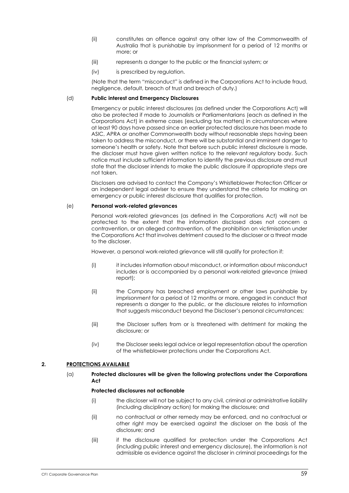- (ii) constitutes an offence against any other law of the Commonwealth of Australia that is punishable by imprisonment for a period of 12 months or more; or
- (iii) represents a danger to the public or the financial system; or
- (iv) is prescribed by regulation.

(Note that the term "misconduct" is defined in the Corporations Act to include fraud, negligence, default, breach of trust and breach of duty.)

#### (d) **Public interest and Emergency Disclosures**

Emergency or public interest disclosures (as defined under the Corporations Act) will also be protected if made to Journalists or Parliamentarians (each as defined in the Corporations Act) in extreme cases (excluding tax matters) in circumstances where at least 90 days have passed since an earlier protected disclosure has been made to ASIC, APRA or another Commonwealth body without reasonable steps having been taken to address the misconduct, or there will be substantial and imminent danger to someone's health or safety. Note that before such public interest disclosure is made, the discloser must have given written notice to the relevant regulatory body. Such notice must include sufficient information to identify the previous disclosure and must state that the discloser intends to make the public disclosure if appropriate steps are not taken.

Disclosers are advised to contact the Company's Whistleblower Protection Officer or an independent legal adviser to ensure they understand the criteria for making an emergency or public interest disclosure that qualifies for protection.

#### (e) **Personal work-related grievances**

Personal work-related grievances (as defined in the Corporations Act) will not be protected to the extent that the information disclosed does not concern a contravention, or an alleged contravention, of the prohibition on victimisation under the Corporations Act that involves detriment caused to the discloser or a threat made to the discloser.

However, a personal work-related grievance will still qualify for protection if:

- (i) it includes information about misconduct, or information about misconduct includes or is accompanied by a personal work-related grievance (mixed report);
- (ii) the Company has breached employment or other laws punishable by imprisonment for a period of 12 months or more, engaged in conduct that represents a danger to the public, or the disclosure relates to information that suggests misconduct beyond the Discloser's personal circumstances;
- (iii) the Discloser suffers from or is threatened with detriment for making the disclosure; or
- (iv) the Discloser seeks legal advice or legal representation about the operation of the whistleblower protections under the Corporations Act.

#### **2. PROTECTIONS AVAILABLE**

#### (a) **Protected disclosures will be given the following protections under the Corporations Act**

#### **Protected disclosures not actionable**

- (i) the discloser will not be subject to any civil, criminal or administrative liability (including disciplinary action) for making the disclosure; and
- (ii) no contractual or other remedy may be enforced, and no contractual or other right may be exercised against the discloser on the basis of the disclosure; and
- (iii) if the disclosure qualified for protection under the Corporations Act (including public interest and emergency disclosure), the information is not admissible as evidence against the discloser in criminal proceedings for the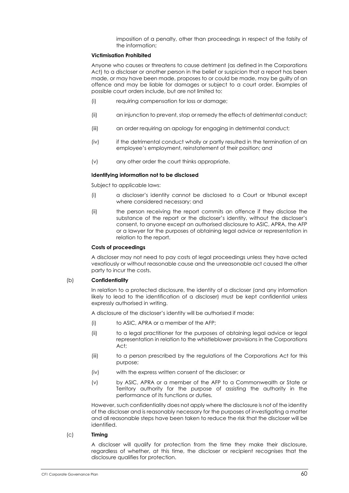imposition of a penalty, other than proceedings in respect of the falsity of the information;

#### **Victimisation Prohibited**

Anyone who causes or threatens to cause detriment (as defined in the Corporations Act) to a discloser or another person in the belief or suspicion that a report has been made, or may have been made, proposes to or could be made, may be guilty of an offence and may be liable for damages or subject to a court order. Examples of possible court orders include, but are not limited to:

- (i) requiring compensation for loss or damage;
- (ii) an injunction to prevent, stop or remedy the effects of detrimental conduct;
- (iii) an order requiring an apology for engaging in detrimental conduct;
- (iv) if the detrimental conduct wholly or partly resulted in the termination of an employee's employment, reinstatement of their position; and
- (v) any other order the court thinks appropriate.

#### **Identifying information not to be disclosed**

Subject to applicable laws:

- (i) a discloser's identity cannot be disclosed to a Court or tribunal except where considered necessary; and
- (ii) the person receiving the report commits an offence if they disclose the substance of the report or the discloser's identity, without the discloser's consent, to anyone except an authorised disclosure to ASIC, APRA, the AFP or a lawyer for the purposes of obtaining legal advice or representation in relation to the report.

#### **Costs of proceedings**

A discloser may not need to pay costs of legal proceedings unless they have acted vexatiously or without reasonable cause and the unreasonable act caused the other party to incur the costs.

#### (b) **Confidentiality**

In relation to a protected disclosure, the identity of a discloser (and any information likely to lead to the identification of a discloser) must be kept confidential unless expressly authorised in writing.

A disclosure of the discloser's identity will be authorised if made:

- (i) to ASIC, APRA or a member of the AFP;
- (ii) to a legal practitioner for the purposes of obtaining legal advice or legal representation in relation to the whistleblower provisions in the Corporations Act;
- (iii) to a person prescribed by the regulations of the Corporations Act for this purpose;
- (iv) with the express written consent of the discloser; or
- (v) by ASIC, APRA or a member of the AFP to a Commonwealth or State or Territory authority for the purpose of assisting the authority in the performance of its functions or duties.

However, such confidentiality does not apply where the disclosure is not of the identity of the discloser and is reasonably necessary for the purposes of investigating a matter and all reasonable steps have been taken to reduce the risk that the discloser will be identified.

#### (c) **Timing**

A discloser will qualify for protection from the time they make their disclosure, regardless of whether, at this time, the discloser or recipient recognises that the disclosure qualifies for protection.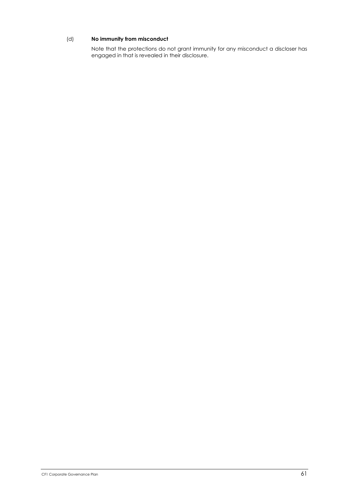## (d) **No immunity from misconduct**

Note that the protections do not grant immunity for any misconduct a discloser has engaged in that is revealed in their disclosure.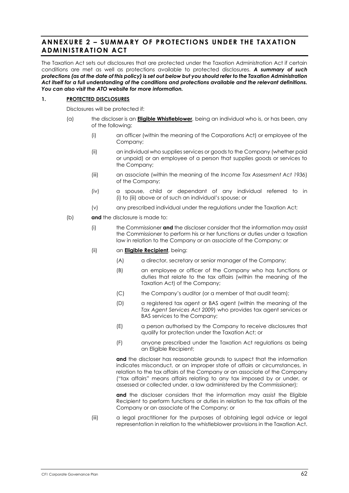# **ANNEXURE 2 – SUMMARY OF PROTECTIONS UNDER THE TAXATION ADMINISTRATION ACT**

The Taxation Act sets out disclosures that are protected under the Taxation Administration Act if certain conditions are met as well as protections available to protected disclosures. *A summary of such protections (as at the date of this policy) is set out below but you should refer to the Taxation Administration Act itself for a full understanding of the conditions and protections available and the relevant definitions. You can also visit the ATO website for more information.*

#### **1. PROTECTED DISCLOSURES**

Disclosures will be protected if:

- (a) the discloser is an **Eligible Whistleblower**, being an individual who is, or has been, any of the following:
	- (i) an officer (within the meaning of the Corporations Act) or employee of the Company;
	- (ii) an individual who supplies services or goods to the Company (whether paid or unpaid) or an employee of a person that supplies goods or services to the Company;
	- (iii) an associate (within the meaning of the *Income Tax Assessment Act 1936*) of the Company;
	- (iv) a spouse, child or dependant of any individual referred to in (i) to (iii) above or of such an individual's spouse; or
	- (v) any prescribed individual under the regulations under the Taxation Act;
- (b) **and** the disclosure is made to:
	- (i) the Commissioner **and** the discloser consider that the information may assist the Commissioner to perform his or her functions or duties under a taxation law in relation to the Company or an associate of the Company; or
	- (ii) an **Eligible Recipient**, being:
		- (A) a director, secretary or senior manager of the Company;
		- (B) an employee or officer of the Company who has functions or duties that relate to the tax affairs (within the meaning of the Taxation Act) of the Company;
		- (C) the Company's auditor (or a member of that audit team);
		- (D) a registered tax agent or BAS agent (within the meaning of the *Tax Agent Services Act 2009*) who provides tax agent services or BAS services to the Company;
		- (E) a person authorised by the Company to receive disclosures that qualify for protection under the Taxation Act; or
		- (F) anyone prescribed under the Taxation Act regulations as being an Eligible Recipient;

**and** the discloser has reasonable grounds to suspect that the information indicates misconduct, or an improper state of affairs or circumstances, in relation to the tax affairs of the Company or an associate of the Company ("tax affairs" means affairs relating to any tax imposed by or under, or assessed or collected under, a law administered by the Commissioner);

**and** the discloser considers that the information may assist the Eligible Recipient to perform functions or duties in relation to the tax affairs of the Company or an associate of the Company; or

(iii) a legal practitioner for the purposes of obtaining legal advice or legal representation in relation to the whistleblower provisions in the Taxation Act.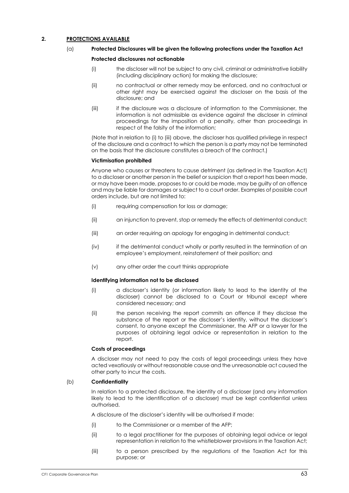#### **2. PROTECTIONS AVAILABLE**

#### (a) **Protected Disclosures will be given the following protections under the Taxation Act**

#### **Protected disclosures not actionable**

- (i) the discloser will not be subject to any civil, criminal or administrative liability (including disciplinary action) for making the disclosure;
- (ii) no contractual or other remedy may be enforced, and no contractual or other right may be exercised against the discloser on the basis of the disclosure; and
- (iii) if the disclosure was a disclosure of information to the Commissioner, the information is not admissible as evidence against the discloser in criminal proceedings for the imposition of a penalty, other than proceedings in respect of the falsity of the information;

(Note that in relation to (i) to (iii) above, the discloser has qualified privilege in respect of the disclosure and a contract to which the person is a party may not be terminated on the basis that the disclosure constitutes a breach of the contract.)

#### **Victimisation prohibited**

Anyone who causes or threatens to cause detriment (as defined in the Taxation Act) to a discloser or another person in the belief or suspicion that a report has been made, or may have been made, proposes to or could be made, may be guilty of an offence and may be liable for damages or subject to a court order. Examples of possible court orders include, but are not limited to:

- (i) requiring compensation for loss or damage;
- (ii) an injunction to prevent, stop or remedy the effects of detrimental conduct;
- (iii) an order requiring an apology for engaging in detrimental conduct;
- (iv) if the detrimental conduct wholly or partly resulted in the termination of an employee's employment, reinstatement of their position; and
- (v) any other order the court thinks appropriate

#### **Identifying information not to be disclosed**

- (i) a discloser's identity (or information likely to lead to the identity of the discloser) cannot be disclosed to a Court or tribunal except where considered necessary; and
- (ii) the person receiving the report commits an offence if they disclose the substance of the report or the discloser's identity, without the discloser's consent, to anyone except the Commissioner, the AFP or a lawyer for the purposes of obtaining legal advice or representation in relation to the report.

#### **Costs of proceedings**

A discloser may not need to pay the costs of legal proceedings unless they have acted vexatiously or without reasonable cause and the unreasonable act caused the other party to incur the costs.

#### (b) **Confidentiality**

In relation to a protected disclosure, the identity of a discloser (and any information likely to lead to the identification of a discloser) must be kept confidential unless authorised.

A disclosure of the discloser's identity will be authorised if made:

- (i) to the Commissioner or a member of the AFP;
- (ii) to a legal practitioner for the purposes of obtaining legal advice or legal representation in relation to the whistleblower provisions in the Taxation Act;
- (iii) to a person prescribed by the regulations of the Taxation Act for this purpose; or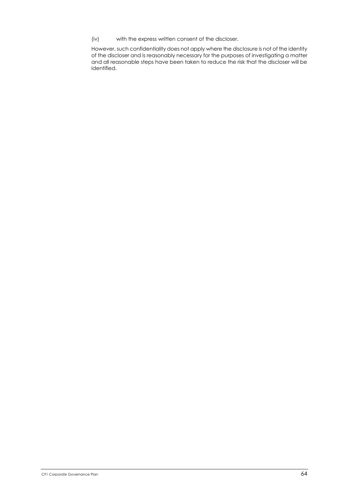(iv) with the express written consent of the discloser.

However, such confidentiality does not apply where the disclosure is not of the identity of the discloser and is reasonably necessary for the purposes of investigating a matter and all reasonable steps have been taken to reduce the risk that the discloser will be identified.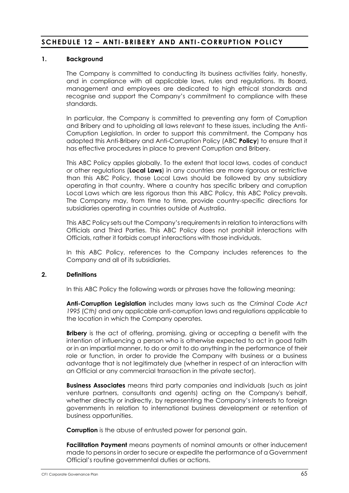# **SCHEDULE 12 – ANTI -BRIBERY AND ANTI -CORRUPTION POLICY**

## **1. Background**

The Company is committed to conducting its business activities fairly, honestly, and in compliance with all applicable laws, rules and regulations. Its Board, management and employees are dedicated to high ethical standards and recognise and support the Company's commitment to compliance with these standards.

In particular, the Company is committed to preventing any form of Corruption and Bribery and to upholding all laws relevant to these issues, including the Anti-Corruption Legislation. In order to support this commitment, the Company has adopted this Anti-Bribery and Anti-Corruption Policy (ABC **Policy**) to ensure that it has effective procedures in place to prevent Corruption and Bribery.

This ABC Policy applies globally. To the extent that local laws, codes of conduct or other regulations (**Local Laws**) in any countries are more rigorous or restrictive than this ABC Policy, those Local Laws should be followed by any subsidiary operating in that country. Where a country has specific bribery and corruption Local Laws which are less rigorous than this ABC Policy, this ABC Policy prevails. The Company may, from time to time, provide country-specific directions for subsidiaries operating in countries outside of Australia.

This ABC Policy sets out the Company's requirements in relation to interactions with Officials and Third Parties. This ABC Policy does not prohibit interactions with Officials, rather it forbids corrupt interactions with those individuals.

In this ABC Policy, references to the Company includes references to the Company and all of its subsidiaries.

## **2. Definitions**

In this ABC Policy the following words or phrases have the following meaning:

**Anti-Corruption Legislation** includes many laws such as the *Criminal Code Act 1995* (*Cth)* and any applicable anti-corruption laws and regulations applicable to the location in which the Company operates.

**Bribery** is the act of offering, promising, giving or accepting a benefit with the intention of influencing a person who is otherwise expected to act in good faith or in an impartial manner, to do or omit to do anything in the performance of their role or function, in order to provide the Company with business or a business advantage that is not legitimately due (whether in respect of an interaction with an Official or any commercial transaction in the private sector).

**Business Associates** means third party companies and individuals (such as joint venture partners, consultants and agents) acting on the Company's behalf, whether directly or indirectly, by representing the Company's interests to foreign governments in relation to international business development or retention of business opportunities.

**Corruption** is the abuse of entrusted power for personal gain.

**Facilitation Payment** means payments of nominal amounts or other inducement made to persons in order to secure or expedite the performance of a Government Official's routine governmental duties or actions.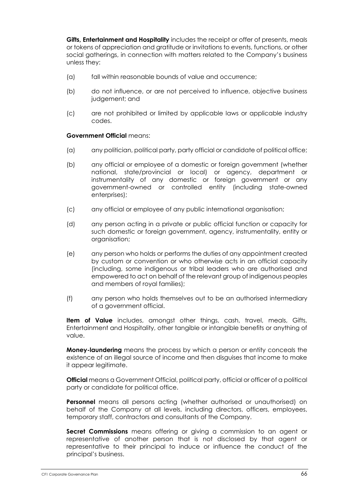**Gifts, Entertainment and Hospitality** includes the receipt or offer of presents, meals or tokens of appreciation and gratitude or invitations to events, functions, or other social gatherings, in connection with matters related to the Company's business unless they:

- (a) fall within reasonable bounds of value and occurrence;
- (b) do not influence, or are not perceived to influence, objective business judgement; and
- (c) are not prohibited or limited by applicable laws or applicable industry codes.

#### **Government Official** means:

- (a) any politician, political party, party official or candidate of political office;
- (b) any official or employee of a domestic or foreign government (whether national, state/provincial or local) or agency, department or instrumentality of any domestic or foreign government or any government-owned or controlled entity (including state-owned enterprises);
- (c) any official or employee of any public international organisation;
- (d) any person acting in a private or public official function or capacity for such domestic or foreign government, agency, instrumentality, entity or organisation;
- (e) any person who holds or performs the duties of any appointment created by custom or convention or who otherwise acts in an official capacity (including, some indigenous or tribal leaders who are authorised and empowered to act on behalf of the relevant group of indigenous peoples and members of royal families);
- (f) any person who holds themselves out to be an authorised intermediary of a government official.

**Item of Value** includes, amongst other things, cash, travel, meals, Gifts, Entertainment and Hospitality, other tangible or intangible benefits or anything of value.

**Money-laundering** means the process by which a person or entity conceals the existence of an illegal source of income and then disguises that income to make it appear legitimate.

**Official** means a Government Official, political party, official or officer of a political party or candidate for political office.

**Personnel** means all persons acting (whether authorised or unauthorised) on behalf of the Company at all levels, including directors, officers, employees, temporary staff, contractors and consultants of the Company.

**Secret Commissions** means offering or giving a commission to an agent or representative of another person that is not disclosed by that agent or representative to their principal to induce or influence the conduct of the principal's business.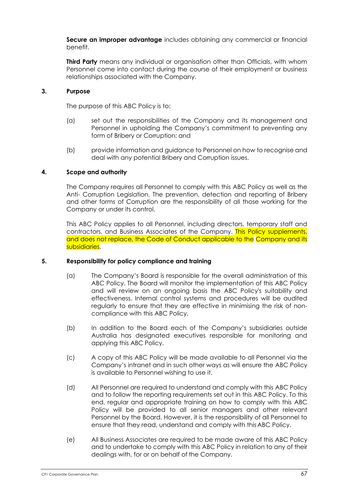**Secure an improper advantage** includes obtaining any commercial or financial benefit.

**Third Party** means any individual or organisation other than Officials, with whom Personnel come into contact during the course of their employment or business relationships associated with the Company.

# **3. Purpose**

The purpose of this ABC Policy is to:

- (a) set out the responsibilities of the Company and its management and Personnel in upholding the Company's commitment to preventing any form of Bribery or Corruption; and
- (b) provide information and guidance to Personnel on how to recognise and deal with any potential Bribery and Corruption issues.

## **4. Scope and authority**

The Company requires all Personnel to comply with this ABC Policy as well as the Anti- Corruption Legislation. The prevention, detection and reporting of Bribery and other forms of Corruption are the responsibility of all those working for the Company or under its control.

This ABC Policy applies to all Personnel, including directors, temporary staff and contractors, and Business Associates of the Company. This Policy supplements, and does not replace, the Code of Conduct applicable to the Company and its subsidiaries.

## **5. Responsibility for policy compliance and training**

- (a) The Company's Board is responsible for the overall administration of this ABC Policy. The Board will monitor the implementation of this ABC Policy and will review on an ongoing basis the ABC Policy's suitability and effectiveness. Internal control systems and procedures will be audited regularly to ensure that they are effective in minimising the risk of noncompliance with this ABC Policy.
- (b) In addition to the Board each of the Company's subsidiaries outside Australia has designated executives responsible for monitoring and applying this ABC Policy.
- (c) A copy of this ABC Policy will be made available to all Personnel via the Company's intranet and in such other ways as will ensure the ABC Policy is available to Personnel wishing to use it.
- (d) All Personnel are required to understand and comply with this ABC Policy and to follow the reporting requirements set out in this ABC Policy. To this end, regular and appropriate training on how to comply with this ABC Policy will be provided to all senior managers and other relevant Personnel by the Board. However, it is the responsibility of all Personnel to ensure that they read, understand and comply with this ABC Policy.
- (e) All Business Associates are required to be made aware of this ABC Policy and to undertake to comply with this ABC Policy in relation to any of their dealings with, for or on behalf of the Company.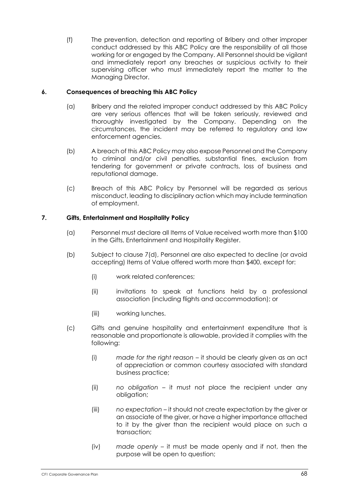(f) The prevention, detection and reporting of Bribery and other improper conduct addressed by this ABC Policy are the responsibility of all those working for or engaged by the Company. All Personnel should be vigilant and immediately report any breaches or suspicious activity to their supervising officer who must immediately report the matter to the Managing Director.

# **6. Consequences of breaching this ABC Policy**

- (a) Bribery and the related improper conduct addressed by this ABC Policy are very serious offences that will be taken seriously, reviewed and thoroughly investigated by the Company. Depending on the circumstances, the incident may be referred to regulatory and law enforcement agencies.
- (b) A breach of this ABC Policy may also expose Personnel and the Company to criminal and/or civil penalties, substantial fines, exclusion from tendering for government or private contracts, loss of business and reputational damage.
- (c) Breach of this ABC Policy by Personnel will be regarded as serious misconduct, leading to disciplinary action which may include termination of employment.

# **7. Gifts, Entertainment and Hospitality Policy**

- (a) Personnel must declare all Items of Value received worth more than \$100 in the Gifts, Entertainment and Hospitality Register.
- (b) Subject to clause 7(d), Personnel are also expected to decline (or avoid accepting) Items of Value offered worth more than \$400, except for:
	- (i) work related conferences;
	- (ii) invitations to speak at functions held by a professional association (including flights and accommodation); or
	- (iii) working lunches.
- (c) Gifts and genuine hospitality and entertainment expenditure that is reasonable and proportionate is allowable, provided it complies with the following:
	- (i) *made for the right reason* it should be clearly given as an act of appreciation or common courtesy associated with standard business practice;
	- (ii) *no obligation* it must not place the recipient under any obligation;
	- (iii) *no expectation* it should not create expectation by the giver or an associate of the giver, or have a higher importance attached to it by the giver than the recipient would place on such a transaction;
	- (iv) *made openly* it must be made openly and if not, then the purpose will be open to question;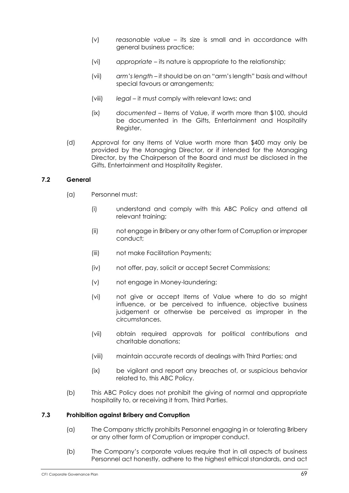- (v) *reasonable value* its size is small and in accordance with general business practice;
- (vi) *appropriate* its nature is appropriate to the relationship;
- (vii) *arm's length* it should be on an "arm's length" basis and without special favours or arrangements;
- (viii) *legal* it must comply with relevant laws; and
- (ix) *documented* Items of Value, if worth more than \$100, should be documented in the Gifts, Entertainment and Hospitality Register.
- (d) Approval for any Items of Value worth more than \$400 may only be provided by the Managing Director, or if intended for the Managing Director, by the Chairperson of the Board and must be disclosed in the Gifts, Entertainment and Hospitality Register.

## **7.2 General**

- (a) Personnel must:
	- (i) understand and comply with this ABC Policy and attend all relevant training;
	- (ii) not engage in Bribery or any other form of Corruption or improper conduct;
	- (iii) not make Facilitation Payments;
	- (iv) not offer, pay, solicit or accept Secret Commissions;
	- (v) not engage in Money-laundering;
	- (vi) not give or accept Items of Value where to do so might influence, or be perceived to influence, objective business judgement or otherwise be perceived as improper in the circumstances.
	- (vii) obtain required approvals for political contributions and charitable donations;
	- (viii) maintain accurate records of dealings with Third Parties; and
	- (ix) be vigilant and report any breaches of, or suspicious behavior related to, this ABC Policy.
- (b) This ABC Policy does not prohibit the giving of normal and appropriate hospitality to, or receiving it from, Third Parties.

## **7.3 Prohibition against Bribery and Corruption**

- (a) The Company strictly prohibits Personnel engaging in or tolerating Bribery or any other form of Corruption or improper conduct.
- (b) The Company's corporate values require that in all aspects of business Personnel act honestly, adhere to the highest ethical standards, and act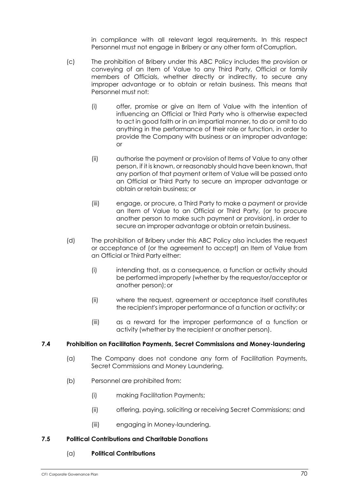in compliance with all relevant legal requirements. In this respect Personnel must not engage in Bribery or any other form of Corruption.

- (c) The prohibition of Bribery under this ABC Policy includes the provision or conveying of an Item of Value to any Third Party, Official or family members of Officials, whether directly or indirectly, to secure any improper advantage or to obtain or retain business. This means that Personnel must not:
	- (i) offer, promise or give an Item of Value with the intention of influencing an Official or Third Party who is otherwise expected to act in good faith or in an impartial manner, to do or omit to do anything in the performance of their role or function, in order to provide the Company with business or an improper advantage; or
	- (ii) authorise the payment or provision of Items of Value to any other person, if it is known, or reasonably should have been known, that any portion of that payment or Item of Value will be passed onto an Official or Third Party to secure an improper advantage or obtain or retain business; or
	- (iii) engage, or procure, a Third Party to make a payment or provide an Item of Value to an Official or Third Party, (or to procure another person to make such payment or provision), in order to secure an improper advantage or obtain or retain business.
- (d) The prohibition of Bribery under this ABC Policy also includes the request or acceptance of (or the agreement to accept) an Item of Value from an Official or Third Party either:
	- (i) intending that, as a consequence, a function or activity should be performed improperly (whether by the requestor/acceptor or another person);or
	- (ii) where the request, agreement or acceptance itself constitutes the recipient's improper performance of a function or activity; or
	- (iii) as a reward for the improper performance of a function or activity (whether by the recipient or another person).

## **7.4 Prohibition on Facilitation Payments, Secret Commissions and Money-laundering**

- (a) The Company does not condone any form of Facilitation Payments, Secret Commissions and Money Laundering.
- (b) Personnel are prohibited from:
	- (i) making Facilitation Payments;
	- (ii) offering, paying, soliciting or receiving Secret Commissions; and
	- (iii) engaging in Money-laundering.

#### **7.5 Political Contributions and Charitable Donations**

#### (a) **Political Contributions**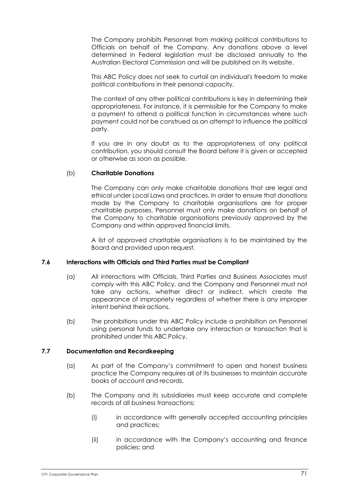The Company prohibits Personnel from making political contributions to Officials on behalf of the Company. Any donations above a level determined in Federal legislation must be disclosed annually to the Australian Electoral Commission and will be published on its website.

This ABC Policy does not seek to curtail an individual's freedom to make political contributions in their personal capacity.

The context of any other political contributions is key in determining their appropriateness. For instance, it is permissible for the Company to make a payment to attend a political function in circumstances where such payment could not be construed as an attempt to influence the political party.

If you are in any doubt as to the appropriateness of any political contribution, you should consult the Board before it is given or accepted or otherwise as soon as possible.

#### (b) **Charitable Donations**

The Company can only make charitable donations that are legal and ethical under Local Laws and practices. In order to ensure that donations made by the Company to charitable organisations are for proper charitable purposes, Personnel must only make donations on behalf of the Company to charitable organisations previously approved by the Company and within approved financial limits.

A list of approved charitable organisations is to be maintained by the Board and provided upon request.

#### **7.6 Interactions with Officials and Third Parties must be Compliant**

- (a) All interactions with Officials, Third Parties and Business Associates must comply with this ABC Policy, and the Company and Personnel must not take any actions, whether direct or indirect, which create the appearance of impropriety regardless of whether there is any improper intent behind theiractions.
- (b) The prohibitions under this ABC Policy include a prohibition on Personnel using personal funds to undertake any interaction or transaction that is prohibited under this ABC Policy.

#### **7.7 Documentation and Recordkeeping**

- (a) As part of the Company's commitment to open and honest business practice the Company requires all of its businesses to maintain accurate books of account and records.
- (b) The Company and its subsidiaries must keep accurate and complete records of all business transactions:
	- (i) in accordance with generally accepted accounting principles and practices;
	- (ii) in accordance with the Company's accounting and finance policies; and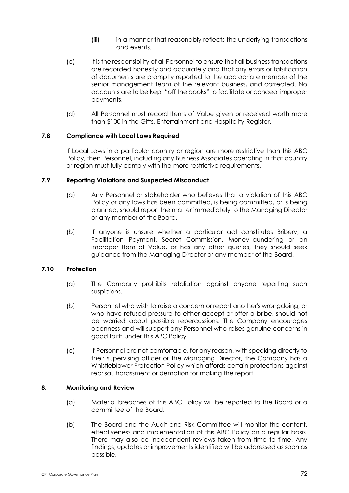- (iii) in a manner that reasonably reflects the underlying transactions and events.
- (c) It is the responsibility of all Personnel to ensure that all business transactions are recorded honestly and accurately and that any errors or falsification of documents are promptly reported to the appropriate member of the senior management team of the relevant business, and corrected. No accounts are to be kept "off the books" to facilitate or conceal improper payments.
- (d) All Personnel must record Items of Value given or received worth more than \$100 in the Gifts, Entertainment and Hospitality Register.

#### **7.8 Compliance with Local Laws Required**

If Local Laws in a particular country or region are more restrictive than this ABC Policy, then Personnel, including any Business Associates operating in that country or region must fully comply with the more restrictive requirements.

#### **7.9 Reporting Violations and Suspected Misconduct**

- (a) Any Personnel or stakeholder who believes that a violation of this ABC Policy or any laws has been committed, is being committed, or is being planned, should report the matter immediately to the Managing Director or any member of the Board.
- (b) If anyone is unsure whether a particular act constitutes Bribery, a Facilitation Payment, Secret Commission, Money-laundering or an improper Item of Value, or has any other queries, they should seek guidance from the Managing Director or any member of the Board.

### **7.10 Protection**

- (a) The Company prohibits retaliation against anyone reporting such suspicions.
- (b) Personnel who wish to raise a concern or report another's wrongdoing, or who have refused pressure to either accept or offer a bribe, should not be worried about possible repercussions. The Company encourages openness and will support any Personnel who raises genuine concerns in good faith under this ABC Policy.
- (c) If Personnel are not comfortable, for any reason, with speaking directly to their supervising officer or the Managing Director, the Company has a Whistleblower Protection Policy which affords certain protections against reprisal, harassment or demotion for making the report.

## **8. Monitoring and Review**

- (a) Material breaches of this ABC Policy will be reported to the Board or a committee of the Board.
- (b) The Board and the Audit and Risk Committee will monitor the content, effectiveness and implementation of this ABC Policy on a regular basis. There may also be independent reviews taken from time to time. Any findings, updates or improvements identified will be addressed as soon as possible.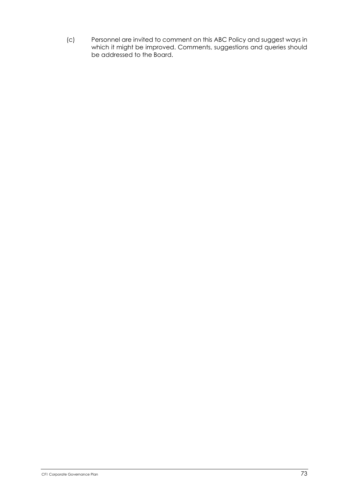(c) Personnel are invited to comment on this ABC Policy and suggest ways in which it might be improved. Comments, suggestions and queries should be addressed to the Board.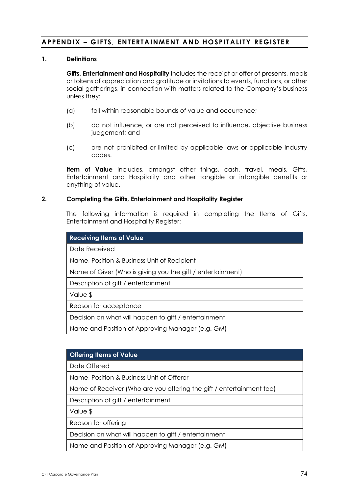## **APPENDIX – GIFTS, ENTERTAINMENT AND HOSPITALITY REGISTER**

#### **1. Definitions**

**Gifts, Entertainment and Hospitality** includes the receipt or offer of presents, meals or tokens of appreciation and gratitude or invitations to events, functions, or other social gatherings, in connection with matters related to the Company's business unless they:

- (a) fall within reasonable bounds of value and occurrence;
- (b) do not influence, or are not perceived to influence, objective business judgement; and
- (c) are not prohibited or limited by applicable laws or applicable industry codes.

**Item of Value** includes, amongst other things, cash, travel, meals, Gifts, Entertainment and Hospitality and other tangible or intangible benefits or anything of value.

#### **2. Completing the Gifts, Entertainment and Hospitality Register**

The following information is required in completing the Items of Gifts, Entertainment and Hospitality Register:

| <b>Receiving Items of Value</b>                            |  |  |  |
|------------------------------------------------------------|--|--|--|
| Date Received                                              |  |  |  |
| Name, Position & Business Unit of Recipient                |  |  |  |
| Name of Giver (Who is giving you the gift / entertainment) |  |  |  |
| Description of gift / entertainment                        |  |  |  |
| Value \$                                                   |  |  |  |
| Reason for acceptance                                      |  |  |  |
| Decision on what will happen to gift / entertainment       |  |  |  |
| Name and Position of Approving Manager (e.g. GM)           |  |  |  |

#### **Offering Items of Value**

Date Offered

Name, Position & Business Unit of Offeror

Name of Receiver (Who are you offering the gift / entertainment too)

Description of gift / entertainment

Value \$

Reason for offering

Decision on what will happen to gift / entertainment

Name and Position of Approving Manager (e.g. GM)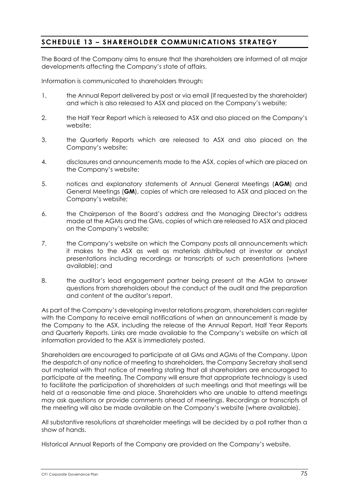# **SCHEDULE 13 – SHAREHOLDER COMMUNICATIONS STRATEGY**

The Board of the Company aims to ensure that the shareholders are informed of all major developments affecting the Company's state of affairs.

Information is communicated to shareholders through:

- 1. the Annual Report delivered by post or via email (if requested by the shareholder) and which is also released to ASX and placed on the Company's website;
- 2. the Half Year Report which is released to ASX and also placed on the Company's website;
- 3. the Quarterly Reports which are released to ASX and also placed on the Company's website;
- 4. disclosures and announcements made to the ASX, copies of which are placed on the Company's website;
- 5. notices and explanatory statements of Annual General Meetings (**AGM**) and General Meetings (**GM**), copies of which are released to ASX and placed on the Company's website;
- 6. the Chairperson of the Board's address and the Managing Director's address made at the AGMs and the GMs, copies of which are released to ASX and placed on the Company's website;
- 7. the Company's website on which the Company posts all announcements which it makes to the ASX as well as materials distributed at investor or analyst presentations including recordings or transcripts of such presentations (where available); and
- 8. the auditor's lead engagement partner being present at the AGM to answer questions from shareholders about the conduct of the audit and the preparation and content of the auditor's report.

As part of the Company's developing investor relations program, shareholders can register with the Company to receive email notifications of when an announcement is made by the Company to the ASX, including the release of the Annual Report, Half Year Reports and Quarterly Reports. Links are made available to the Company's website on which all information provided to the ASX is immediately posted.

Shareholders are encouraged to participate at all GMs and AGMs of the Company. Upon the despatch of any notice of meeting to shareholders, the Company Secretary shall send out material with that notice of meeting stating that all shareholders are encouraged to participate at the meeting. The Company will ensure that appropriate technology is used to facilitate the participation of shareholders at such meetings and that meetings will be held at a reasonable time and place. Shareholders who are unable to attend meetings may ask questions or provide comments ahead of meetings. Recordings or transcripts of the meeting will also be made available on the Company's website (where available).

All substantive resolutions at shareholder meetings will be decided by a poll rather than a show of hands.

Historical Annual Reports of the Company are provided on the Company's website.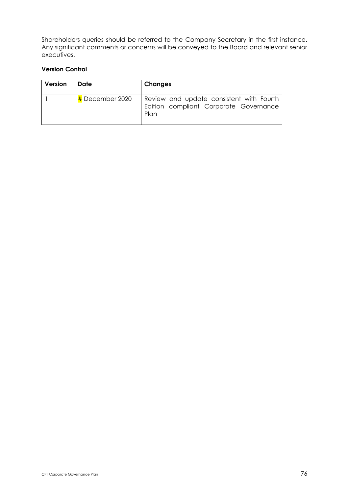Shareholders queries should be referred to the Company Secretary in the first instance. Any significant comments or concerns will be conveyed to the Board and relevant senior executives.

## **Version Control**

| Version | Date              | Changes                                                                                    |
|---------|-------------------|--------------------------------------------------------------------------------------------|
|         | $#$ December 2020 | Review and update consistent with Fourth<br>Edition compliant Corporate Governance<br>Plan |